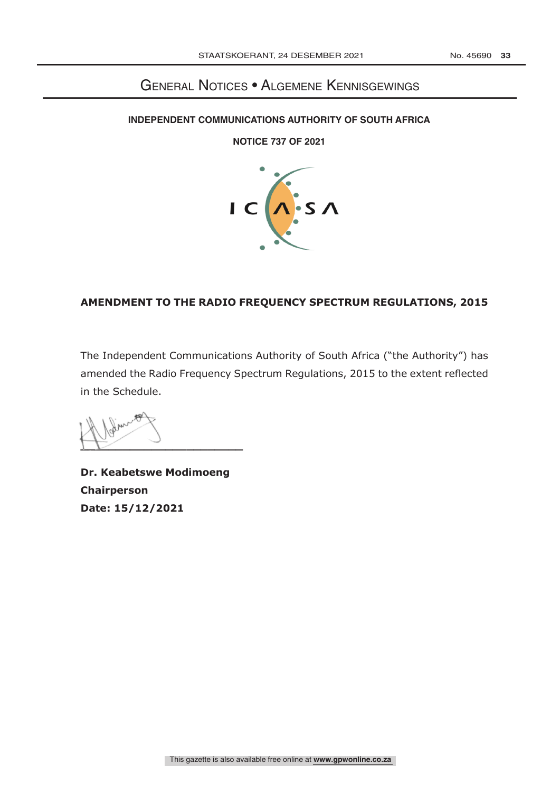## GENERAL NOTICES · ALGEMENE KENNISGEWINGS

### **INDEPENDENT COMMUNICATIONS AUTHORITY OF SOUTH AFRICA**

**NOTICE 737 OF 2021** 



### **AMENDMENT TO THE RADIO FREQUENCY SPECTRUM REGULATIONS, 2015**

The Independent Communications Authority of South Africa ("the Authority") has amended the Radio Frequency Spectrum Regulations, 2015 to the extent reflected in the Schedule.

 $\sqrt{2}$ 

**Dr. Keabetswe Modimoeng Chairperson Date: 15/12/2021**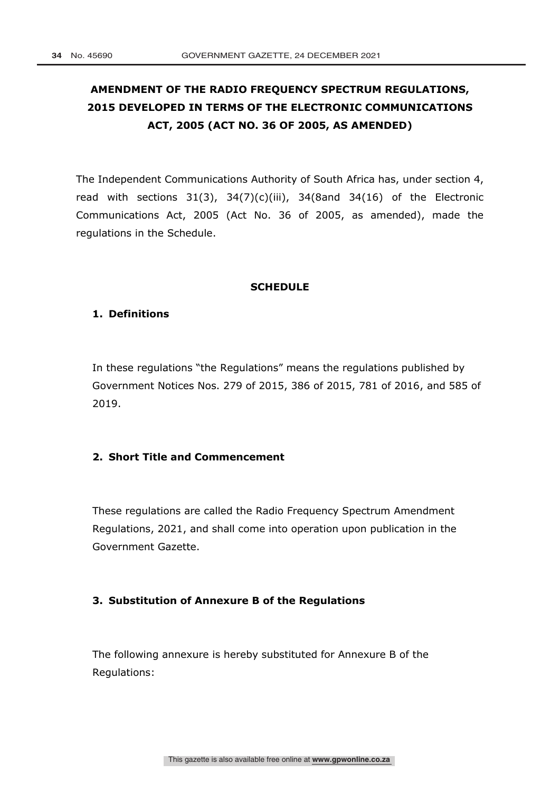# **AMENDMENT OF THE RADIO FREQUENCY SPECTRUM REGULATIONS, 2015 DEVELOPED IN TERMS OF THE ELECTRONIC COMMUNICATIONS ACT, 2005 (ACT NO. 36 OF 2005, AS AMENDED)**

The Independent Communications Authority of South Africa has, under section 4, read with sections  $31(3)$ ,  $34(7)(c)(iii)$ ,  $34(8)$ and  $34(16)$  of the Electronic Communications Act, 2005 (Act No. 36 of 2005, as amended), made the regulations in the Schedule.

### **SCHEDULE**

### **1. Definitions**

In these regulations "the Regulations" means the regulations published by Government Notices Nos. 279 of 2015, 386 of 2015, 781 of 2016, and 585 of 2019.

### **2. Short Title and Commencement**

These regulations are called the Radio Frequency Spectrum Amendment Regulations, 2021, and shall come into operation upon publication in the Government Gazette.

### **3. Substitution of Annexure B of the Regulations**

The following annexure is hereby substituted for Annexure B of the Regulations: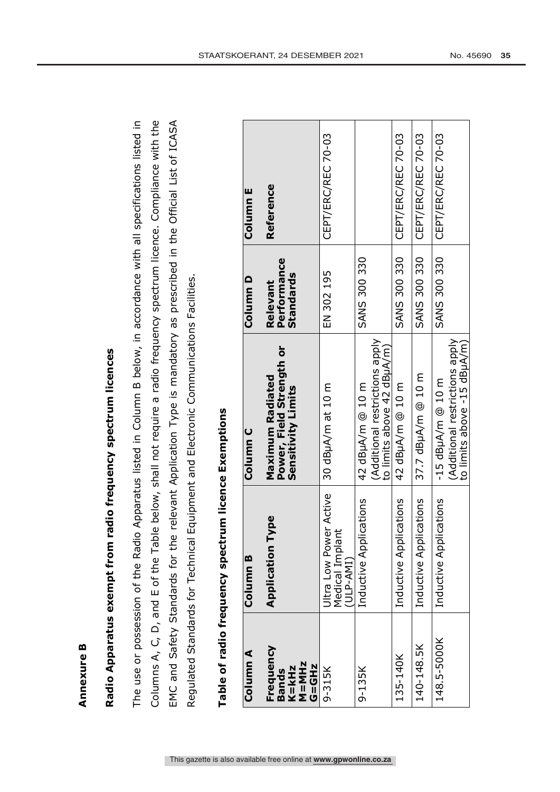# Radio Apparatus exempt from radio frequency spectrum licences **Radio Apparatus exempt from radio frequency spectrum licences**

The use or possession of the Radio Apparatus listed in Column B below, in accordance with all specifications listed in Columns A, C, D, and E of the Table below, shall not require a radio frequency spectrum licence. Compliance with the Columns A, C, D, and E of the Table below, shall not require a radio frequency spectrum licence. Compliance with the EMC and Safety Standards for the relevant Application Type is mandatory as prescribed in the Official List of ICASA The use or possession of the Radio Apparatus listed in Column B below, in accordance with all specifications listed in EMC and Safety Standards for the relevant Application Type is mandatory as prescribed in the Official List of ICASA Regulated Standards for Technical Equipment and Electronic Communications Facilities Regulated Standards for Technical Equipment and Electronic Communications Facilities.

| Column A                                                      | Column B                                               | Column C                                                                             | Column D                                    | Column E           |
|---------------------------------------------------------------|--------------------------------------------------------|--------------------------------------------------------------------------------------|---------------------------------------------|--------------------|
| Frequency<br>$M = M Hz$<br>$G = GHz$<br>K=kHz<br><b>Bands</b> | Type<br>Application                                    | Power, Field Strength or<br><b>Maximum Radiated</b><br>Sensitivity Limits            | Performance<br><b>Standards</b><br>Relevant | Reference          |
| $9 - 315K$                                                    | Jitra Low Power Active<br>Medical Implant<br>(ULP-AMI) | 30 dBµA/m at 10 m                                                                    | EN 302 195                                  | CEPT/ERC/REC 70-03 |
| 9-135K                                                        | Inductive Applications                                 | (Additional restrictions apply<br>to limits above 42 dBuA/m)<br>42 dBuA/m @ 10 m     | <b>SANS 300 330</b>                         |                    |
| 135-140K                                                      | Inductive Applications                                 | 42 dBµA/m @ 10 m                                                                     | <b>SANS 300 330</b>                         | CEPT/ERC/REC 70-03 |
| 140-148.5K                                                    | Inductive Applications                                 | 37.7 dBuA/m @ 10 m                                                                   | <b>SANS 300 330</b>                         | CEPT/ERC/REC 70-03 |
| 148.5-5000K                                                   | Inductive Applications                                 | (Additional restrictions apply)<br>to limits above -15 dBuA/m<br>$-15$ dBµA/m @ 10 m | <b>SANS 300 330</b>                         | CEPT/ERC/REC 70-03 |

# Table of radio frequency spectrum licence Exemptions **Table of radio frequency spectrum licence Exemptions**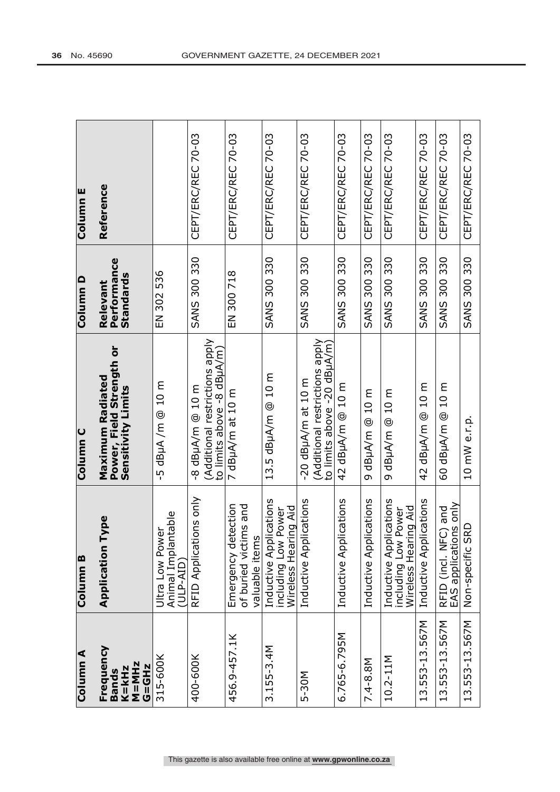| Column <sub>E</sub> | Reference                                                           |                                                    | CEPT/ERC/REC 70-03                                                                  | CEPT/ERC/REC 70-03                                                 | CEPT/ERC/REC 70-03                                                    | CEPT/ERC/REC 70-03                                                                    | CEPT/ERC/REC 70-03     | CEPT/ERC/REC 70-03     | CEPT/ERC/REC 70-03                                                    | CEPT/ERC/REC 70-03     | CEPT/ERC/REC 70-03                                | CEPT/ERC/REC 70-03         |
|---------------------|---------------------------------------------------------------------|----------------------------------------------------|-------------------------------------------------------------------------------------|--------------------------------------------------------------------|-----------------------------------------------------------------------|---------------------------------------------------------------------------------------|------------------------|------------------------|-----------------------------------------------------------------------|------------------------|---------------------------------------------------|----------------------------|
| Column D            | Performance<br><b>Standards</b><br>Relevant                         | EN 302 536                                         | <b>SANS 300 330</b>                                                                 | EN 300 718                                                         | <b>SANS 300 330</b>                                                   | <b>SANS 300 330</b>                                                                   | 300 330<br><b>SANS</b> | <b>SANS 300 330</b>    | <b>SANS 300 330</b>                                                   | <b>SANS 300 330</b>    | <b>SANS 300 330</b>                               | <b>SANS 300 330</b>        |
| Column <sub>C</sub> | Power, Field Strength or<br>Maximum Radiated<br>Sensitivity Limits  | $-5$ dBuA /m $@$ 10 m                              | (Additional restrictions apply<br>to limits above -8 dBuA/m<br>$-8$ dBuA/m $@$ 10 m | 7 dBµA/m at 10 m                                                   | 13.5 dBµA/m @ 10 m                                                    | (Additional restrictions apply<br>to limits above -20 dBuA/m)<br>$-20$ dBuA/m at 10 m | 42 dBuA/m @ 10 m       | o dBµA/m @ 10 m        | o dBµA/m @ 10 m                                                       | 42 dBµA/m @ 10 m       | 60 dBµA/m @ 10 m                                  | 10 mW e.r.p.               |
| Column <sub>B</sub> | Type<br>Application                                                 | Animal Implantable<br>Ultra Low Power<br>(ULP-AID) | RFID Applications only                                                              | of buried victims and<br>etection<br>valuable items<br>Emergency d | Inductive Applications<br>Wireless Hearing Aid<br>including Low Power | plications<br>Inductive Ap                                                            | Inductive Applications | Inductive Applications | Inductive Applications<br>including Low Power<br>Wireless Hearing Aid | Inductive Applications | EAS applications only<br>FC) and<br>RFID (incl. N | <b>SRD</b><br>Non-specific |
| Column A            | Frequency<br>$M = MHz$<br><b>G=GHz</b><br>$K = kHz$<br><b>Bands</b> | 315-600K                                           | 400-600K                                                                            | 456.9-457.1K                                                       | $3.155 - 3.4M$                                                        | 5-30M                                                                                 | 6.765-6.795M           | 7.4-8.8M               | 10.2-11M                                                              | 13.553-13.567M         | 13.553-13.567M                                    | 13.553-13.567M             |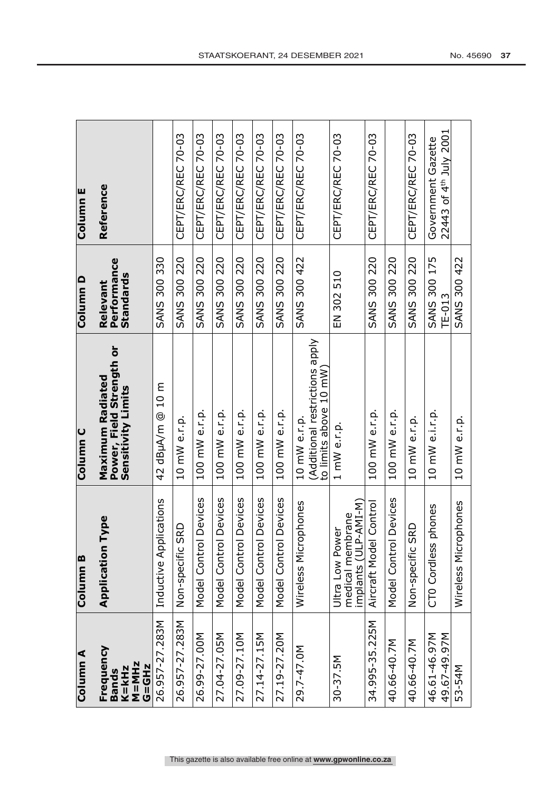| Column E            | Reference                                                                 |                        | CEPT/ERC/REC 70-03         | CEPT/ERC/REC 70-03    | CEPT/ERC/REC 70-03    | CEPT/ERC/REC 70-03                     | CEPT/ERC/REC 70-03     | CEPT/ERC/REC 70-03    | CEPT/ERC/REC 70-03                                                       | CEPT/ERC/REC 70-03                                              | CEPT/ERC/REC 70-03     |                       | CEPT/ERC/REC 70-03         | 22443 of 4th July 2001<br>Government Gazette |                      |
|---------------------|---------------------------------------------------------------------------|------------------------|----------------------------|-----------------------|-----------------------|----------------------------------------|------------------------|-----------------------|--------------------------------------------------------------------------|-----------------------------------------------------------------|------------------------|-----------------------|----------------------------|----------------------------------------------|----------------------|
| Column D            | Performance<br>Standards<br>Relevant                                      | <b>SANS 300 330</b>    | <b>SANS 300 220</b>        | 300 220<br>SANS       | 300 220<br>SANS       | 220<br>300 <sub>5</sub><br><b>SANS</b> | 300 220<br><b>SANS</b> | <b>SANS 300 220</b>   | <b>SANS 300 422</b>                                                      | EN 302 510                                                      | <b>SANS 300 220</b>    | <b>SANS 300 220</b>   | <b>SANS 300 220</b>        | <b>SANS 300 175</b><br>$TF-013$              | <b>SANS 300 422</b>  |
| Column <sub>C</sub> | Power, Field Strength or<br>Sensitivity Limits<br><b>Maximum Radiated</b> | 42 dBuA/m @ 10 m       | 10 mW e.r.p.               | 100 mW e.r.p.         | 100 mW e.r.p.         | 100 mW e.r.p.                          | 100 mW e.r.p.          | 100 mW e.r.p.         | (Additional restrictions apply<br>to limits above 10 mW)<br>10 mW e.r.p. | 1 mW e.r.p.                                                     | 100 mW e.r.p.          | 100 mW e.r.p.         | 10 mW e.r.p.               | 10 mW e.i.r.p.                               | 10 mW e.r.p.         |
| Column B            | Type<br>Application                                                       | Inductive Applications | <b>SRD</b><br>Non-specific | Model Control Devices | Model Control Devices | Model Control Devices                  | Model Control Devices  | Model Control Devices | ophones<br>Wireless<br>Mic                                               | implants (ULP-AMI-M)<br>brane<br>Ultra Low Power<br>medical men | Aircraft Model Control | Model Control Devices | <b>SRD</b><br>Non-specific | phones<br>CT0 Cordless                       | Wireless Microphones |
| Column A            | Frequency<br><b>M=MHz</b><br><b>G=GHz</b><br>K=kHz<br><b>Bands</b>        | 26.957-27.283M         | 26.957-27.283M             | 26.99-27.00M          | 27.04-27.05M          | 27.09-27.10M                           | 27.14-27.15M           | 27.19-27.20M          | 29.7-47.0M                                                               | $30 - 37.5M$                                                    | 34.995-35.225M         | 40.66-40.7M           | 40.66-40.7M                | 46.61-46.97M<br>49.67-49.97M                 | 53-54M               |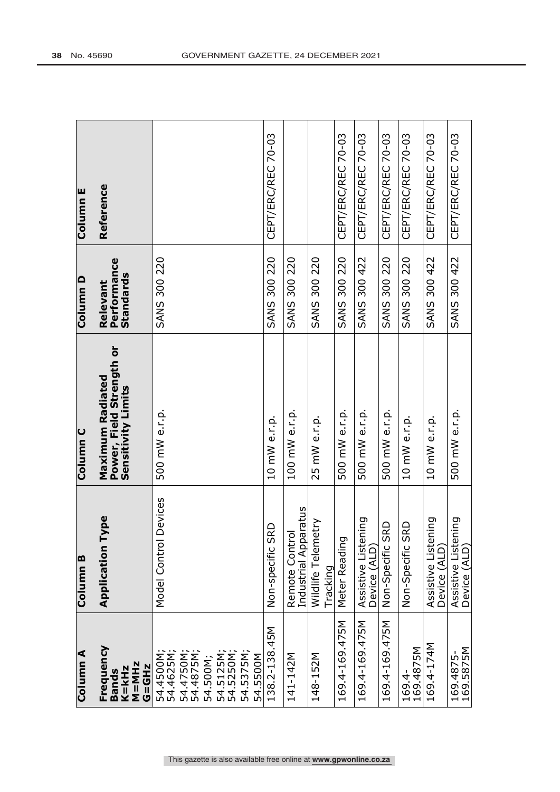| Column A                                           | Column <sub>B</sub>                    | Column <sub>C</sub>                                                | Column D                                    | Column <sub>E</sub> |
|----------------------------------------------------|----------------------------------------|--------------------------------------------------------------------|---------------------------------------------|---------------------|
| Frequency<br>$M = M Hz$<br>G=GHz<br>K=kHz<br>Bands | <b>Type</b><br>Application             | Power, Field Strength or<br>Maximum Radiated<br>Sensitivity Limits | Performance<br><b>Standards</b><br>Relevant | Reference           |
| 54.4500M<br>54.4625M<br>54.4750M<br>54.500M;       | <b>Devices</b><br>Model Control        | 500 mW e.r.p.                                                      | <b>SANS 300 220</b>                         |                     |
| 54.5375M<br>54.5125M;<br>54.5250M;<br>54.5500M     |                                        |                                                                    |                                             |                     |
| 138.2-138.45M                                      | Non-specific SRD                       | 10 mW e.r.p.                                                       | <b>SANS 300 220</b>                         | CEPT/ERC/REC 70-03  |
| 141-142M                                           | Industrial Apparatus<br>Remote Control | 100 mW e.r.p.                                                      | <b>SANS 300 220</b>                         |                     |
| 148-152M                                           | etry<br>Wildlife Telem<br>Tracking     | 25 mW e.r.p.                                                       | <b>SANS 300 220</b>                         |                     |
| 169.4-169.475M                                     | Meter Reading                          | 500 mW e.r.p.                                                      | <b>SANS 300 220</b>                         | CEPT/ERC/REC 70-03  |
| 169.4-169.475M                                     | Assistive Listening<br>Device (ALD)    | 500 mW e.r.p.                                                      | <b>SANS 300 422</b>                         | CEPT/ERC/REC 70-03  |
| 169.4-169.475M                                     | Non-Specific SRD                       | 500 mW e.r.p.                                                      | <b>SANS 300 220</b>                         | CEPT/ERC/REC 70-03  |
| 169.4-<br>169.4875M                                | Non-Specific SRD                       | 10 mW e.r.p.                                                       | <b>SANS 300 220</b>                         | CEPT/ERC/REC 70-03  |
| 169.4-174M                                         | Assistive Listening<br>Device (ALD)    | 10 mW e.r.p.                                                       | <b>SANS 300 422</b>                         | CEPT/ERC/REC 70-03  |
| 169.4875-<br>169.5875M                             | Assistive Listening<br>Device (ALD)    | 500 mW e.r.p.                                                      | <b>SANS 300 422</b>                         | CEPT/ERC/REC 70-03  |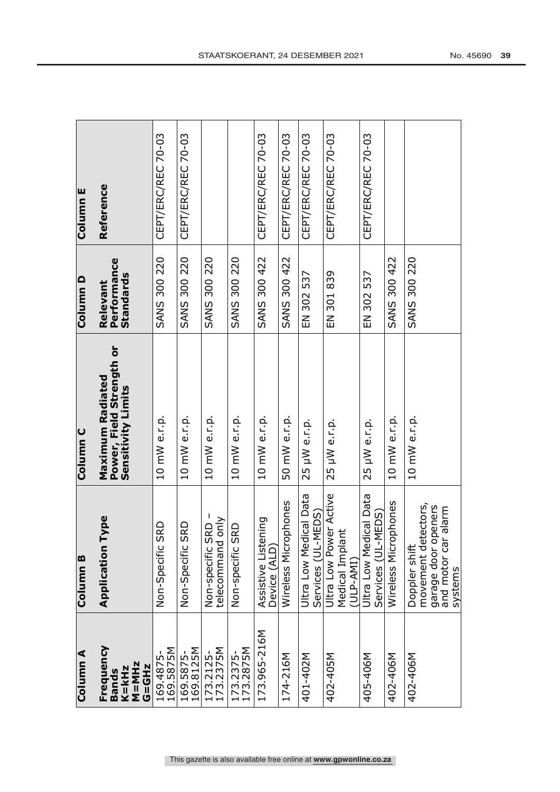| Column <sub>E</sub> | Reference                                                          | CEPT/ERC/REC 70-03         | CEPT/ERC/REC 70-03         |                                         |                        | CEPT/ERC/REC 70-03                  | CEPT/ERC/REC 70-03   | CEPT/ERC/REC 70-03                           | CEPT/ERC/REC 70-03                                         | CEPT/ERC/REC 70-03                           |                      |                                                                                                  |
|---------------------|--------------------------------------------------------------------|----------------------------|----------------------------|-----------------------------------------|------------------------|-------------------------------------|----------------------|----------------------------------------------|------------------------------------------------------------|----------------------------------------------|----------------------|--------------------------------------------------------------------------------------------------|
| Column D            | Performance<br>Standards<br>Relevant                               | <b>SANS 300 220</b>        | <b>SANS 300 220</b>        | <b>SANS 300 220</b>                     | <b>SANS 300 220</b>    | <b>SANS 300 422</b>                 | <b>SANS 300 422</b>  | EN 302 537                                   | EN 301 839                                                 | EN 302 537                                   | <b>SANS 300 422</b>  | <b>SANS 300 220</b>                                                                              |
| Column <sub>C</sub> | Power, Field Strength or<br>Sensitivity Limits<br>Maximum Radiated | 10 mW e.r.p.               | 10 mW e.r.p.               | 10 mW e.r.p.                            | 10 mW e.r.p.           | 10 mW e.r.p.                        | 50 mW e.r.p.         | 25 µW e.r.p.                                 | 25 µW e.r.p.                                               | 25 µW e.r.p.                                 | 10 mW e.r.p.         | 10 mW e.r.p.                                                                                     |
| Column <sub>B</sub> | Type<br>Application                                                | <b>SRD</b><br>Non-Specific | <b>SRD</b><br>Non-Specific | telecommand only<br>SRD<br>Non-specific | SRD<br>Non-specific    | Assistive Listening<br>Device (ALD) | Wireless Microphones | Ultra Low Medical Data<br>Services (UL-MEDS) | Ultra Low Power Active<br>ant<br>Medical Impl<br>(ULP-AMI) | Ultra Low Medical Data<br>Services (UL-MEDS) | Wireless Microphones | movement detectors,<br>openers<br>and motor car alarm<br>Doppler shift<br>garage door<br>systems |
| Column A            | Frequency<br><b>M=MHz</b><br><b>G=GHz</b><br>$K = kHz$<br>Bands    | 169.4875-<br>169.5875M     | 169.5875-<br>169.8125M     | 173.2125-<br>173.2375M                  | 173.2375-<br>173.2875M | 173.965-216M                        | 174-216M             | 401-402M                                     | 402-405M                                                   | 405-406M                                     | 402-406M             | 402-406M                                                                                         |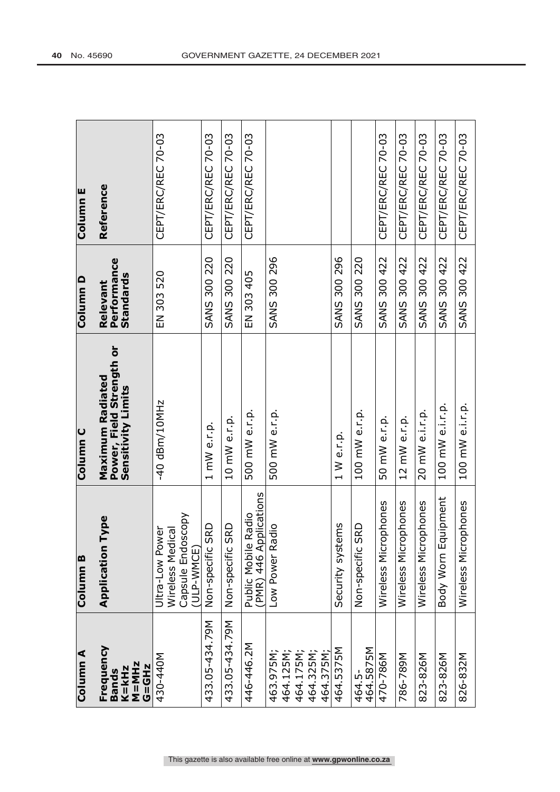| Column <sub>E</sub> | Reference                                                          | CEPT/ERC/REC 70-03                                                     | CEPT/ERC/REC 70-03         | CEPT/ERC/REC 70-03         | CEPT/ERC/REC 70-03                               |                                                          |                       |                            | CEPT/ERC/REC 70-03   | CEPT/ERC/REC 70-03   | CEPT/ERC/REC 70-03          | CEPT/ERC/REC 70-03      | CEPT/ERC/REC 70-03          |
|---------------------|--------------------------------------------------------------------|------------------------------------------------------------------------|----------------------------|----------------------------|--------------------------------------------------|----------------------------------------------------------|-----------------------|----------------------------|----------------------|----------------------|-----------------------------|-------------------------|-----------------------------|
| Column D            | Performance<br><b>Standards</b><br>Relevant                        | EN 303 520                                                             | <b>SANS 300 220</b>        | <b>SANS 300 220</b>        | EN 303 405                                       | <b>SANS 300 296</b>                                      | <b>SANS 300 296</b>   | <b>SANS 300 220</b>        | <b>SANS 300 422</b>  | <b>SANS 300 422</b>  | <b>SANS 300 422</b>         | <b>SANS 300 422</b>     | <b>SANS 300 422</b>         |
| <b>Column C</b>     | Power, Field Strength or<br>Maximum Radiated<br>Sensitivity Limits | $-40$ dBm/10MHz                                                        | 1 mW e.r.p.                | 10 mW e.r.p.               | 500 mW e.r.p.                                    | 500 mW e.r.p.                                            | 1 W e.r.p.            | 100 mW e.r.p.              | 50 mW e.r.p.         | 12 mW e.r.p.         | 20 mW e.i.r.p.              | 100 mW e.i.r.p.         | 100 mW e.i.r.p.             |
| Column <sub>B</sub> | Type<br>Application                                                | Capsule Endoscopy<br>(ULP-WMCE)<br>Ultra-Low Power<br>Wireless Medical | <b>SRD</b><br>Non-specific | <b>SRD</b><br>Non-specific | (PMR) 446 Applications<br>Radio<br>Public Mobile | Low Power Radio                                          | sups<br>Security syst | <b>SRD</b><br>Non-specific | Wireless Microphones | Wireless Microphones | rophones<br>Wireless<br>Mic | quipment<br>Body Worn E | rophones<br>Wireless<br>Mic |
| Column A            | Frequency<br>$M = M Hz$<br><b>G=GHz</b><br>K=kHz<br><b>Bands</b>   | 430-440M                                                               | 433.05-434.79M             | 433.05-434.79M             | 446-446.2M                                       | 464.125M<br>464.325M<br>464.375M<br>463.975M<br>464.175M | 464.5375M             | 464.5-<br>464.5875M        | 470-786M             | 786-789M             | 823-826M                    | 823-826M                | 826-832M                    |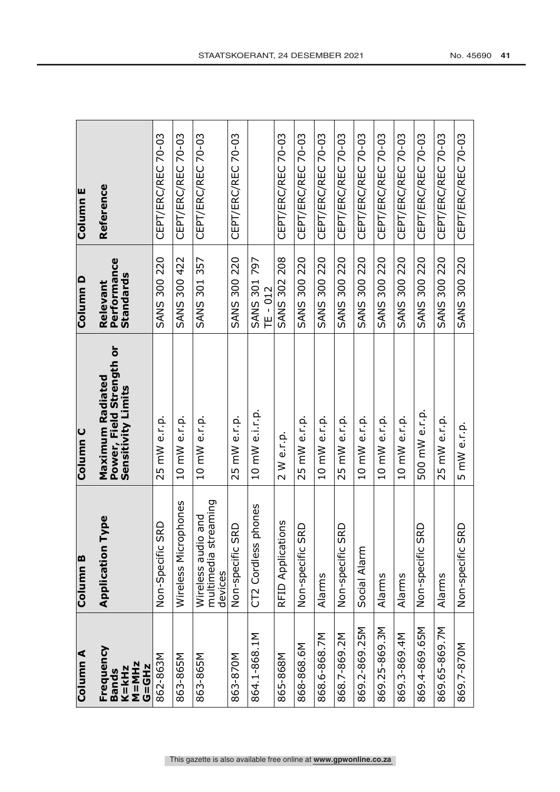| Column A                                                            | Column <sub>B</sub>                                              | Column <sub>C</sub>                                                       | Column D                                    | Column E           |
|---------------------------------------------------------------------|------------------------------------------------------------------|---------------------------------------------------------------------------|---------------------------------------------|--------------------|
| Frequency<br>$K = kHz$<br>$M = MHz$<br><b>G=GHz</b><br><b>Bands</b> | Type<br>Application                                              | Power, Field Strength or<br><b>Maximum Radiated</b><br>Sensitivity Limits | <b>Performance</b><br>Standards<br>Relevant | Reference          |
| 862-863M                                                            | <b>SRD</b><br>Non-Specific                                       | 25 mW e.r.p.                                                              | <b>SANS 300 220</b>                         | CEPT/ERC/REC 70-03 |
| 863-865M                                                            | ophones<br>Wireless<br>Micr                                      | 10 mW e.r.p.                                                              | <b>SANS 300 422</b>                         | CEPT/ERC/REC 70-03 |
| 863-865M                                                            | multimedia streaming<br><b>Dule 0</b><br>Wireless aud<br>devices | 10 mW e.r.p.                                                              | 301 357<br><b>SANS</b>                      | CEPT/ERC/REC 70-03 |
| 863-870M                                                            | SRD<br>Non-specific                                              | 25 mW e.r.p.                                                              | <b>SANS 300 220</b>                         | CEPT/ERC/REC 70-03 |
| 864.1-868.1M                                                        | phones<br>CT2 Cordless                                           | 10 mW e.i.r.p.                                                            | <b>SANS 301 797</b><br>$TE - 012$           |                    |
| 865-868M                                                            | RFID Applications                                                | 2 W e.r.p.                                                                | <b>SANS 302 208</b>                         | CEPT/ERC/REC 70-03 |
| 868-868.6M                                                          | SRD<br>Non-specific                                              | 25 mW e.r.p.                                                              | <b>SANS 300 220</b>                         | CEPT/ERC/REC 70-03 |
| 868.6-868.7M                                                        | Alarms                                                           | 10 mW e.r.p.                                                              | <b>SANS 300 220</b>                         | CEPT/ERC/REC 70-03 |
| 868.7-869.2M                                                        | <b>SRD</b><br>Non-specific                                       | 25 mW e.r.p.                                                              | <b>SANS 300 220</b>                         | CEPT/ERC/REC 70-03 |
| 869.2-869.25M                                                       | Social Alarm                                                     | 10 mW e.r.p.                                                              | 300 220<br><b>SANS</b>                      | CEPT/ERC/REC 70-03 |
| 869.25-869.3M                                                       | Alarms                                                           | 10 mW e.r.p.                                                              | 300 220<br>SANS                             | CEPT/ERC/REC 70-03 |
| 869.3-869.4M                                                        | Alarms                                                           | 10 mW e.r.p.                                                              | 300 220<br><b>SANS</b>                      | CEPT/ERC/REC 70-03 |
| 869.4-869.65M                                                       | SRD<br>Non-specific                                              | 500 mW e.r.p                                                              | 300 220<br>SANS                             | CEPT/ERC/REC 70-03 |
| 869.65-869.7M                                                       | Alarms                                                           | 25 mW e.r.p.                                                              | <b>SANS 300 220</b>                         | CEPT/ERC/REC 70-03 |
| 869.7-870M                                                          | <b>SRD</b><br>Non-specific                                       | 5 mW e.r.p.                                                               | <b>SANS 300 220</b>                         | CEPT/ERC/REC 70-03 |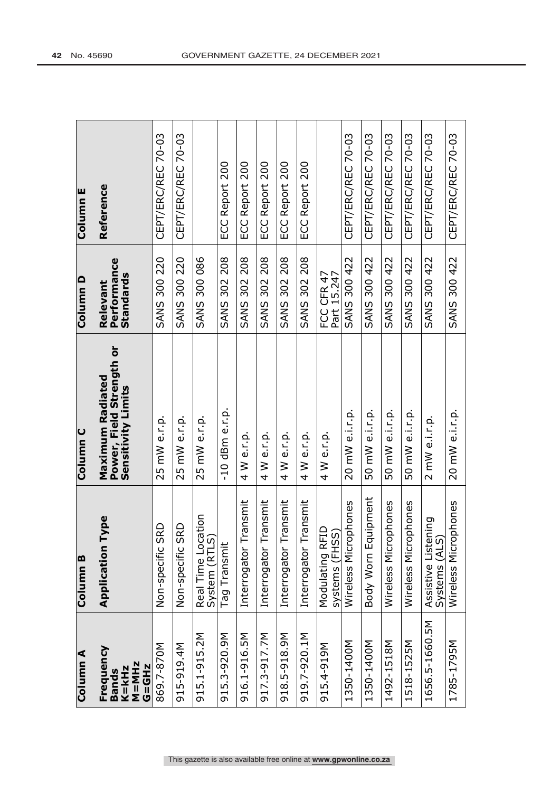| Column A                                                      | Column B                                | Column <sub>C</sub>                                                | Column D                             | Column E           |
|---------------------------------------------------------------|-----------------------------------------|--------------------------------------------------------------------|--------------------------------------|--------------------|
| Frequency<br>$M = M Hz$<br>G=GHz<br>$K = kHz$<br><b>Bands</b> | Type<br>Application                     | Power, Field Strength or<br>Maximum Radiated<br>Sensitivity Limits | Performance<br>Standards<br>Relevant | Reference          |
| 869.7-870M                                                    | <b>SRD</b><br>Non-specific              | 25 mW e.r.p.                                                       | <b>SANS 300 220</b>                  | CEPT/ERC/REC 70-03 |
| 915-919.4M                                                    | SRD<br>Non-specific                     | 25 mW e.r.p.                                                       | <b>SANS 300 220</b>                  | CEPT/ERC/REC 70-03 |
| 915.1-915.2M                                                  | Real Time Location<br>System (RTLS)     | 25 mW e.r.p.                                                       | <b>SANS 300 086</b>                  |                    |
| 915.3-920.9M                                                  | Tag Transmit                            | $-10$ dBm e.r.p.                                                   | 302 208<br><b>SANS</b>               | ECC Report 200     |
| 916.1-916.5M                                                  | Transmit<br>Interrogator                | 4 W e.r.p.                                                         | <b>SANS 302 208</b>                  | ECC Report 200     |
| 917.3-917.7M                                                  | Transmit<br>Interrogator                | 4 W e.r.p.                                                         | <b>SANS 302 208</b>                  | ECC Report 200     |
| 918.5-918.9M                                                  | Transmit<br>Interrogator                | 4 W e.r.p.                                                         | <b>SANS 302 208</b>                  | ECC Report 200     |
| 919.7-920.1M                                                  | Transmit<br>Interrogator                | 4 W e.r.p.                                                         | <b>SANS 302 208</b>                  | ECC Report 200     |
| 915.4-919M                                                    | Modulating RFID<br>systems (FHSS)       | 4 W e.r.p.                                                         | FCC CFR 47<br>Part 15.247            |                    |
| 1350-1400M                                                    | cophones<br>Wireless<br>Micr            | 20 mW e.i.r.p.                                                     | <b>SANS 300 422</b>                  | CEPT/ERC/REC 70-03 |
| 1350-1400M                                                    | Body Worn Equipment                     | 50 mW e.i.r.p.                                                     | <b>SANS 300 422</b>                  | CEPT/ERC/REC 70-03 |
| 1492-1518M                                                    | Wireless Microphones                    | 50 mW e.i.r.p.                                                     | <b>SANS 300 422</b>                  | CEPT/ERC/REC 70-03 |
| 1518-1525M                                                    | Wireless Microphones                    | 50 mW e.i.r.p.                                                     | <b>SANS 300 422</b>                  | CEPT/ERC/REC 70-03 |
| 1656.5-1660.5M                                                | Listening<br>Systems (ALS)<br>Assistive | 2 mW e.i.r.p.                                                      | <b>SANS 300 422</b>                  | CEPT/ERC/REC 70-03 |
| 1785-1795M                                                    | cophones<br>Wireless<br>Mic             | 20 mW e.i.r.p.                                                     | <b>SANS 300 422</b>                  | CEPT/ERC/REC 70-03 |

This gazette is also available free online at **www.gpwonline.co.za**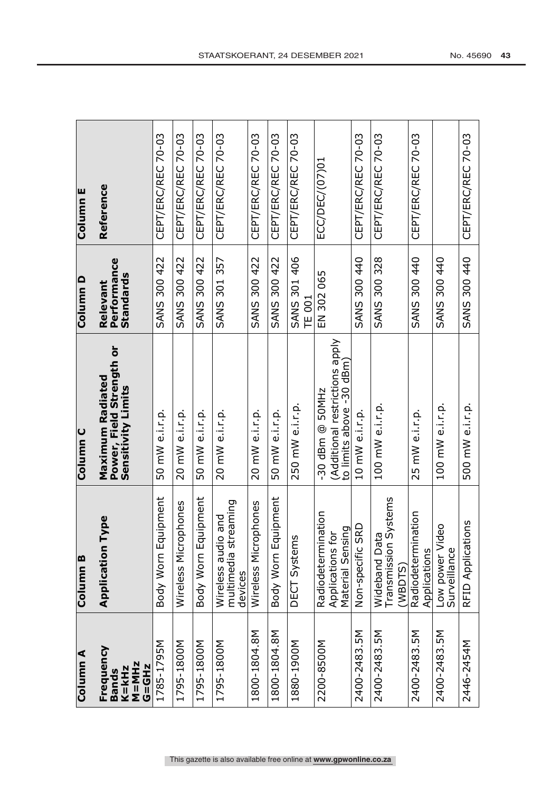| Column E            | Reference                                                          | CEPT/ERC/REC 70-03  | CEPT/ERC/REC 70-03   | CEPT/ERC/REC 70-03      | CEPT/ERC/REC 70-03                                        | CEPT/ERC/REC 70-03     | CEPT/ERC/REC 70-03     | CEPT/ERC/REC 70-03            | ECC/DEC/(07)01                                                                | CEPT/ERC/REC 70-03  | CEPT/ERC/REC 70-03                                  | CEPT/ERC/REC 70-03                     |                                      | CEPT/ERC/REC 70-03 |
|---------------------|--------------------------------------------------------------------|---------------------|----------------------|-------------------------|-----------------------------------------------------------|------------------------|------------------------|-------------------------------|-------------------------------------------------------------------------------|---------------------|-----------------------------------------------------|----------------------------------------|--------------------------------------|--------------------|
| Column D            | Performance<br><b>Standards</b><br>Relevant                        | <b>SANS 300 422</b> | 300 422<br>SANS      | 300 422<br>SANS         | 357<br>301<br><b>SANS</b>                                 | 300 422<br><b>SANS</b> | 300 422<br><b>SANS</b> | SANS 301 406<br><b>TE 001</b> | EN 302 065                                                                    | SANS 300 440        | <b>SANS 300 328</b>                                 | 300 440<br><b>SANS</b>                 | 300 440<br>SANS                      | SANS 300 440       |
| Column <sub>C</sub> | Power, Field Strength or<br>Maximum Radiated<br>Sensitivity Limits | 50 mW e.i.r.p.      | 20 mW e.i.r.p.       | 50 mW e.i.r.p.          | 20 mW e.i.r.p.                                            | 20 mW e.i.r.p.         | 50 mW e.i.r.p.         | 250 mW e.i.r.p.               | (Additional restrictions apply<br>to limits above -30 dBm)<br>-30 dBm @ 50MHz | 10 mW e.i.r.p.      | 100 mW e.i.r.p.                                     | 25 mW e.i.r.p.                         | 100 mW e.i.r.p.                      | 500 mW e.i.r.p.    |
| Column B            | Type<br>Application                                                | Body Worn Equipment | Wireless Microphones | quipment<br>Body Worn E | multimedia streaming<br>io and<br>Wireless aud<br>devices | Wireless Microphones   | Body Worn Equipment    | DECT Systems                  | ination<br>Material Sensing<br>ð<br>Radiodeterm<br>Applications               | SRD<br>Non-specific | Systems<br>Wideband Data<br>Transmission<br>(WBDTS) | nation<br>Radiodetermi<br>Applications | ideo<br>Low power Vi<br>Surveillance | RFID Applications  |
| Column A            | Frequency<br>$M = M Hz$<br><b>G=GHz</b><br>$K = kHz$<br>Bands      | 1785-1795M          | 1795-1800M           | 1795-1800M              | 1795-1800M                                                | 1800-1804.8M           | 1800-1804.8M           | 1880-1900M                    | 2200-8500M                                                                    | 2400-2483.5M        | 2400-2483.5M                                        | 2400-2483.5M                           | 2400-2483.5M                         | 2446-2454M         |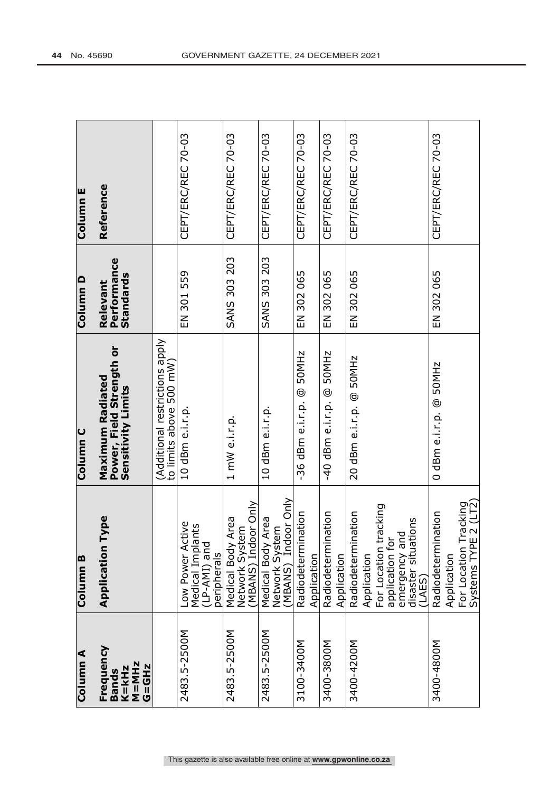| Column A                                                 | Column <sub>B</sub>                                                                                                                       | Column <sub>C</sub>                                                | Column D                             | Column <sub>E</sub> |
|----------------------------------------------------------|-------------------------------------------------------------------------------------------------------------------------------------------|--------------------------------------------------------------------|--------------------------------------|---------------------|
| Frequency<br>$M = MHz$<br>G=GHz<br>K=kHz<br><b>Bands</b> | Type<br>Application                                                                                                                       | Power, Field Strength or<br>Maximum Radiated<br>Sensitivity Limits | Performance<br>Standards<br>Relevant | Reference           |
|                                                          |                                                                                                                                           | (Additional restrictions apply<br>to limits above 500 mW)          |                                      |                     |
| 2483.5-2500M                                             | Low Power Active<br>Medical Implants<br>(LP-AMI) and<br>peripherals                                                                       | 10 dBm e.i.r.p.                                                    | EN 301 559                           | CEPT/ERC/REC 70-03  |
| 2483.5-2500M                                             | Network System<br>(MBANS) Indoor Only<br>Area<br>Medical Body                                                                             | 1 mW e.i.r.p.                                                      | <b>SANS 303 203</b>                  | CEPT/ERC/REC 70-03  |
| 2483.5-2500M                                             | MBANS) Indoor Only<br>Area<br>Network System<br>Medical Body                                                                              | 10 dBm e.i.r.p.                                                    | <b>SANS 303 203</b>                  | CEPT/ERC/REC 70-03  |
| 3100-3400M                                               | Radiodetermination<br>Application                                                                                                         | -36 dBm e.i.r.p. @ 50MHz                                           | EN 302 065                           | CEPT/ERC/REC 70-03  |
| 3400-3800M                                               | nation<br>Radiodetermi<br>Application                                                                                                     | 50MHz<br>-40 dBm e.i.r.p. @                                        | 302 065<br>一<br>山                    | CEPT/ERC/REC 70-03  |
| 3400-4200M                                               | tacking<br>Radiodetermination<br>  emergency and<br>  disaster situations<br>  (LAES)<br>application for<br>For Location 1<br>Application | 20 dBm e.i.r.p. @ 50MHz                                            | EN 302 065                           | CEPT/ERC/REC 70-03  |
| 3400-4800M                                               | For Location Tracking<br>Systems TYPE 2 (LT2)<br>nation<br>Radiodetermi<br>Application                                                    | 50MHz<br>0 dBm e.i.r.p. @                                          | EN 302 065                           | CEPT/ERC/REC 70-03  |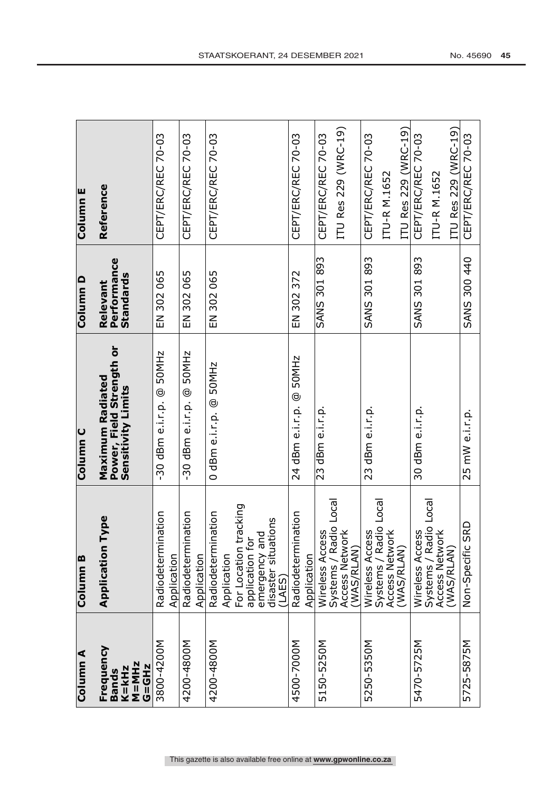| Column A                                                    | Column <sub>B</sub>                                                                                     | Column <sub>C</sub>                                                       | Column D                             | Column <sub>E</sub>                                        |
|-------------------------------------------------------------|---------------------------------------------------------------------------------------------------------|---------------------------------------------------------------------------|--------------------------------------|------------------------------------------------------------|
| Frequency<br><b>M=MHz</b><br>G=GHz<br>K=kHz<br><b>Bands</b> | Type<br>Application                                                                                     | Power, Field Strength or<br><b>Maximum Radiated</b><br>Sensitivity Limits | Performance<br>Standards<br>Relevant | Reference                                                  |
| 3800-4200M                                                  | Radiodetermination<br>Application                                                                       | $-30$ dBm e.i.r.p. @ 50MHz                                                | EN 302 065                           | CEPT/ERC/REC 70-03                                         |
| 42004-008M                                                  | nation<br>Radiodetermi<br>Application                                                                   | 50MHz<br>-30 dBm e.i.r.p. @                                               | 302 065<br>$\overline{E}$            | CEPT/ERC/REC 70-03                                         |
| 4200-4800M                                                  | nation<br>Radiodetermi<br>Application                                                                   | 0 dBm e.i.r.p. @ 50MHz                                                    | 302 065<br>$\Xi$                     | CEPT/ERC/REC 70-03                                         |
|                                                             | tracking<br>v:<br>disaster situations<br>P<br>application for<br>emergency ai<br>For Location<br>(LAES) |                                                                           |                                      |                                                            |
| 4500-7000M                                                  | Radiodetermination<br>Application                                                                       | 24 dBm e.i.r.p. @ 50MHz                                                   | EN 302 372                           | CEPT/ERC/REC 70-03                                         |
| 5150-5250M                                                  | Systems / Radio Local<br>Access Network<br>Wireless Access<br>(WAS/RLAN)                                | 23 dBm e.i.r.p.                                                           | <b>SANS 301 893</b>                  | ITU Res 229 (WRC-19)<br>CEPT/ERC/REC 70-03                 |
| 5250-5350M                                                  | Systems / Radio Local<br>Access Network<br>ΩŚ<br>Wireless Acce<br>(WAS/RLAN)                            | 23 dBm e.i.r.p.                                                           | <b>SANS 301 893</b>                  | ITU Res 229 (WRC-19)<br>CEPT/ERC/REC 70-03<br>ITU-R M.1652 |
| 5470-5725M                                                  | Wireless Access<br>Systems / Radio Local<br>Access Network<br>(WAS/RLAN)                                | 30 dBm e.i.r.p.                                                           | <b>SANS 301 893</b>                  | ITU Res 229 (WRC-19)<br>CEPT/ERC/REC 70-03<br>ITU-R M.1652 |
| 5725-5875M                                                  | <b>GRD</b><br>Non-Specific                                                                              | 25 mW e.i.r.p.                                                            | SANS 300 440                         | CEPT/ERC/REC 70-03                                         |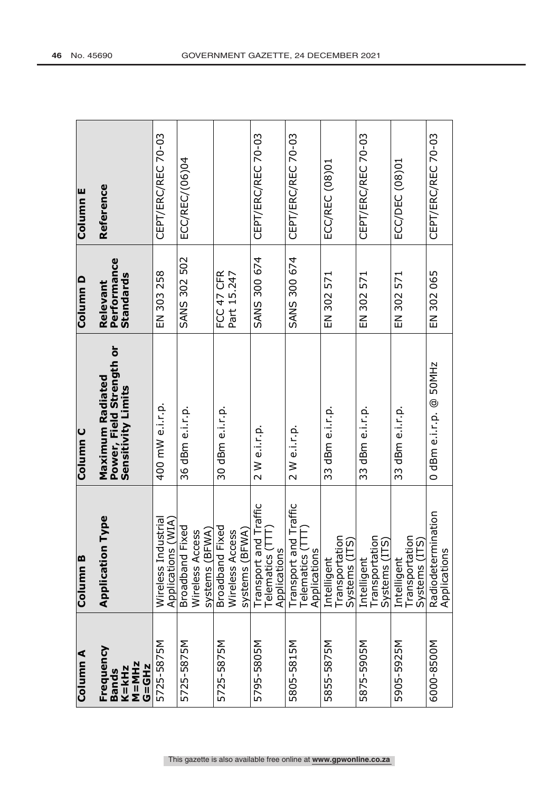| Column <sub>A</sub>                                         | Column <sub>B</sub>                                         | Column <sub>C</sub>                                                | Column D                             | Column <sub>E</sub> |
|-------------------------------------------------------------|-------------------------------------------------------------|--------------------------------------------------------------------|--------------------------------------|---------------------|
| Frequency<br><b>M=MHz</b><br><b>G=GHz</b><br>K=kHz<br>Bands | Type<br>Application                                         | Power, Field Strength or<br>Maximum Radiated<br>Sensitivity Limits | Performance<br>Standards<br>Relevant | Reference           |
| 5725-5875M                                                  | (MIA)<br>Wireless Industrial<br><b>Applications</b>         | 400 mW e.i.r.p.                                                    | 303258<br>ー<br>山                     | CEPT/ERC/REC 70-03  |
| 5725-5875M                                                  | Broadband Fixed<br>systems (BFWA)<br>Wireless Access        | 36 dBm e.i.r.p.                                                    | <b>SANS 302 502</b>                  | ECC/REC/(06)04      |
| 5725-5875M                                                  | <b>Broadband Fixed</b><br>systems (BFWA)<br>Wireless Access | 30 dBm e.i.r.p.                                                    | FCC 47 CFR<br>Part 15.247            |                     |
| 5795-5805M                                                  | Transport and Traffic<br>Telematics (TTT)<br>Applications   | 2 W e.i.r.p.                                                       | SANS 300 674                         | CEPT/ERC/REC 70-03  |
| 5805-5815M                                                  | Transport and Traffic<br>Telematics (TTT)<br>Applications   | 2 W e.i.r.p.                                                       | SANS 300 674                         | CEPT/ERC/REC 70-03  |
| 5855-5875M                                                  | ⊂<br>Transportation<br>Systems (ITS<br>Intelligent          | 33 dBm e.i.r.p.                                                    | EN 302 571                           | ECC/REC (08)01      |
| 5875-5905M                                                  | Transportatio<br>Systems (ITS<br>Intelligent                | 33 dBm e.i.r.p.                                                    | EN 302 571                           | CEPT/ERC/REC 70-03  |
| 5905-5925M                                                  | Transportation<br>Systems (ITS)<br>Intelligent              | 33 dBm e.i.r.p.                                                    | EN 302 571                           | ECC/DEC (08)01      |
| 6000-8500M                                                  | Radiodetermination<br>Applications                          | 0 dBm e.i.r.p. @ 50MHz                                             | EN 302 065                           | CEPT/ERC/REC 70-03  |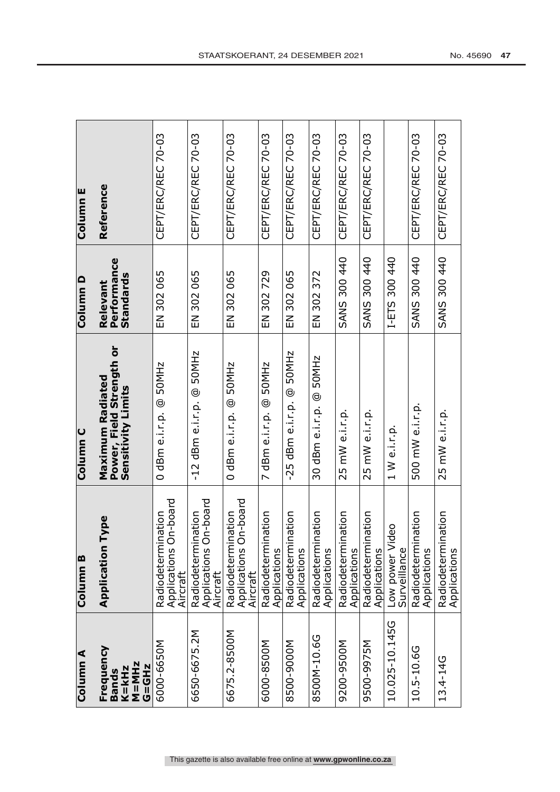| Column A                                                      | Column <sub>B</sub>                                              | Column C                                                                  | Column D                             | Column E           |
|---------------------------------------------------------------|------------------------------------------------------------------|---------------------------------------------------------------------------|--------------------------------------|--------------------|
| Frequency<br>$M = M Hz$<br>G=GHz<br>$K = kHz$<br><b>Bands</b> | Type<br>Application                                              | Power, Field Strength or<br><b>Maximum Radiated</b><br>Sensitivity Limits | Performance<br>Standards<br>Relevant | Reference          |
| 6000-6650M                                                    | On-board<br>nation<br>Radiodetermi<br>Applications C<br>Aircraft | 0 dBm e.i.r.p. @ 50MHz                                                    | EN 302 065                           | CEPT/ERC/REC 70-03 |
| 6650-6675.2M                                                  | On-board<br>Radiodetermination<br>Applications C<br>Aircraft     | 50MHz<br>-12 dBm e.i.r.p. @                                               | EN 302 065                           | CEPT/ERC/REC 70-03 |
| 6675.2-8500M                                                  | On-board<br>Radiodetermination<br>Applications (<br>Aircraft     | 0 dBm e.i.r.p. @ 50MHz                                                    | EN 302 065                           | CEPT/ERC/REC 70-03 |
| 6000-8500M                                                    | nation<br>Radiodetermi<br>Applications                           | 50MHz<br>7 dBm e.i.r.p. @                                                 | 302729<br>$\overline{E}$             | CEPT/ERC/REC 70-03 |
| 8500-9000M                                                    | Radiodetermination<br>Applications                               | $-25$ dBm e.i.r.p. @ $50$ MHz                                             | EN 302 065                           | CEPT/ERC/REC 70-03 |
| 8500M-10.6G                                                   | nation<br>Radiodetermi<br>Applications                           | 30 dBm e.i.r.p. @ 50MHz                                                   | EN 302 372                           | CEPT/ERC/REC 70-03 |
| 9200-9500M                                                    | Radiodetermination<br>Applications                               | 25 mW e.i.r.p.                                                            | SANS 300 440                         | CEPT/ERC/REC 70-03 |
| 9500-9975M                                                    | Radiodetermination<br>Applications                               | 25 mW e.i.r.p.                                                            | SANS 300 440                         | CEPT/ERC/REC 70-03 |
| 10.025-10.145G                                                | Low power Video<br>Surveillance                                  | 1 W e.i.r.p.                                                              | 300 440<br>I-ETS                     |                    |
| 10.5-10.6G                                                    | Radiodetermination<br>Applications                               | 500 mW e.i.r.p.                                                           | SANS 300 440                         | CEPT/ERC/REC 70-03 |
| 13.4-14G                                                      | nation<br>Radiodetermi<br>Applications                           | 25 mW e.i.r.p.                                                            | SANS 300 440                         | CEPT/ERC/REC 70-03 |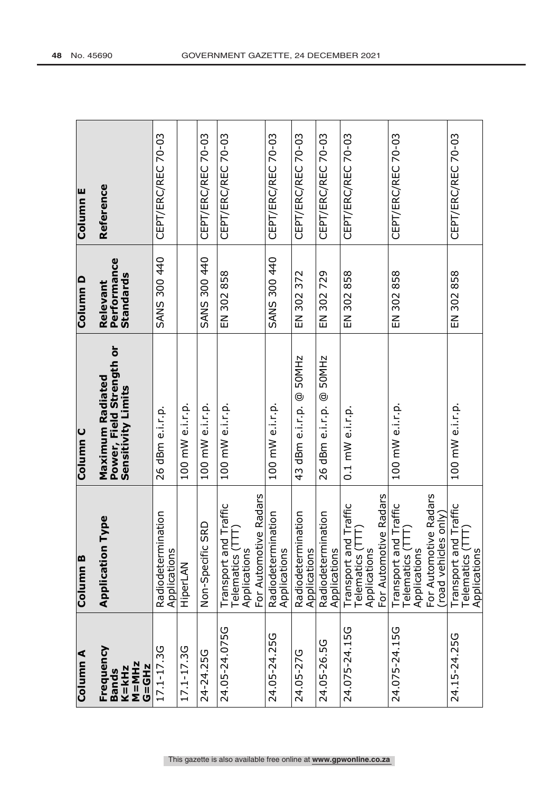| Column <sub>E</sub> | Reference                                                          | CEPT/ERC/REC 70-03                    |                 | CEPT/ERC/REC 70-03         | CEPT/ERC/REC 70-03                                                                               | CEPT/ERC/REC 70-03                    | CEPT/ERC/REC 70-03                    | CEPT/ERC/REC 70-03                     | CEPT/ERC/REC 70-03                                                                                | CEPT/ERC/REC 70-03                                                                                                          | CEPT/ERC/REC 70-03                                             |
|---------------------|--------------------------------------------------------------------|---------------------------------------|-----------------|----------------------------|--------------------------------------------------------------------------------------------------|---------------------------------------|---------------------------------------|----------------------------------------|---------------------------------------------------------------------------------------------------|-----------------------------------------------------------------------------------------------------------------------------|----------------------------------------------------------------|
| Column D            | Performance<br><b>Standards</b><br>Relevant                        | SANS 300 440                          |                 | SANS 300 440               | EN 302 858                                                                                       | SANS 300 440                          | 302 372<br>$\Xi$                      | 302729<br>$\Xi$                        | EN 302 858                                                                                        | EN 302 858                                                                                                                  | 302858<br>.<br>س                                               |
| Column <sub>C</sub> | Power, Field Strength or<br>Maximum Radiated<br>Sensitivity Limits | 26 dBm e.i.r.p.                       | 100 mW e.i.r.p. | 100 mW e.i.r.p.            | 100 mW e.i.r.p.                                                                                  | 100 mW e.i.r.p.                       | 43 dBm e.i.r.p. @ 50MHz               | 50MHz<br>26 dBm e.i.r.p. @             | $0.1$ mW e.i.r.p.                                                                                 | 100 mW e.i.r.p.                                                                                                             | 100 mW e.i.r.p.                                                |
| Column <sub>B</sub> | Type<br>Application                                                | nation<br>Radiodeterm<br>Applications | HiperLAN        | <b>SRD</b><br>Non-Specific | ve Radars<br>id Traffic<br>TTT)<br>Transport an<br>For Automoti<br>Telematics (T<br>Applications | nation<br>Radiodeterm<br>Applications | nation<br>Radiodeterm<br>Applications | ination<br>Radiodeterm<br>Applications | For Automotive Radars<br>i i ansport and Traffic<br>Telematics (TTT)<br>Applicati<br>Applications | ve Radars<br>i ansport and Traffic<br>Telematics (TTT)<br>Applicati<br>(road vehicles only)<br>For Automoti<br>Applications | d Traffic<br>Ê<br>Transport an<br>Telematics (<br>Applications |
| Column <sub>A</sub> | Frequency<br>$M = M Hz$<br><b>G=GHz</b><br>$K = kHz$<br>Bands      | 17.1-17.3G                            | 17.1-17.3G      | 24-24.25G                  | 24.05-24.075G                                                                                    | 24.05-24.25G                          | 24.05-27G                             | 24.05-26.5G                            | 24.075-24.15G                                                                                     | 24.075-24.15G                                                                                                               | 24.15-24.25G                                                   |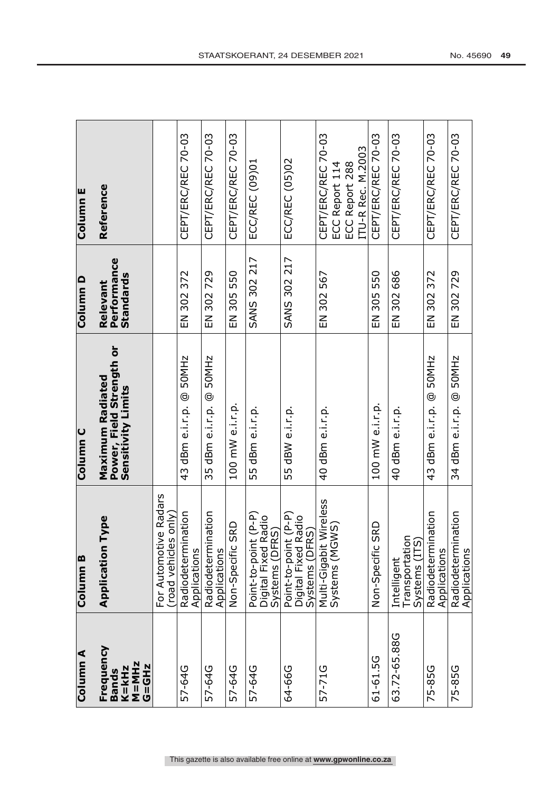| Column A                                              | Column <sub>B</sub>                                                            | Column <sub>C</sub>                                                | Column D                                    | Column E                                                                    |
|-------------------------------------------------------|--------------------------------------------------------------------------------|--------------------------------------------------------------------|---------------------------------------------|-----------------------------------------------------------------------------|
| Frequency<br>$K = kHz$<br>$M = MHz$<br>G=GHz<br>Bands | Type<br>Application                                                            | Power, Field Strength or<br>Maximum Radiated<br>Sensitivity Limits | Performance<br><b>Standards</b><br>Relevant | Reference                                                                   |
|                                                       | For Automotive Radars<br>(road vehicles only)                                  |                                                                    |                                             |                                                                             |
| 57-64G                                                | ination<br>Radiodeterm<br>Applications                                         | 43 dBm e.i.r.p. @ 50MHz                                            | EN 302 372                                  | CEPT/ERC/REC 70-03                                                          |
| 57-64G                                                | ination<br>Radiodeterm<br>Applications                                         | 50MHz<br>35 dBm e.i.r.p. @                                         | 302729<br>$\Xi$                             | CEPT/ERC/REC 70-03                                                          |
| 57-64G                                                | SRD<br>Non-Specific                                                            | 100 mW e.i.r.p.                                                    | 305 550<br>$\overline{5}$                   | CEPT/ERC/REC 70-03                                                          |
| 57-64G                                                | Point-to-point (P-P)<br>Radio <sup>-</sup><br>Systems (DFRS)<br>Digital Fixed  | 55 dBm e.i.r.p.                                                    | 302 217<br><b>SANS</b>                      | ECC/REC (09)01                                                              |
| 64-66G                                                | Point-to-point (P-P)<br>Digital Fixed Radio<br>Systems (DFRS)<br>Digital Fixed | 55 dBW e.i.r.p.                                                    | <b>SANS 302 217</b>                         | ECC/REC (05)02                                                              |
| 57-71G                                                | Multi-Gigabit Wireless<br>Systems (MGWS)                                       | 40 dBm e.i.r.p.                                                    | EN 302 567                                  | CEPT/ERC/REC 70-03<br>ITU-R Rec. M.2003<br>ECC Report 288<br>ECC Report 114 |
| 61-61.5G                                              | <b>SRD</b><br>Non-Specific                                                     | 100 mW e.i.r.p.                                                    | EN 305 550                                  | CEPT/ERC/REC 70-03                                                          |
| 63.72-65.88G                                          | Transportation<br>Systems (ITS)<br>Intelligent                                 | 40 dBm e.i.r.p.                                                    | EN 302 686                                  | CEPT/ERC/REC 70-03                                                          |
| 75-85G                                                | ination<br>Radiodeterm<br>Applications                                         | 43 dBm e.i.r.p. @ 50MHz                                            | 302 372<br>$\Xi$                            | CEPT/ERC/REC 70-03                                                          |
| 75-85G                                                | ination<br>Radiodeterm<br>Applications                                         | 34 dBm e.i.r.p. @ 50MHz                                            | EN 302 729                                  | CEPT/ERC/REC 70-03                                                          |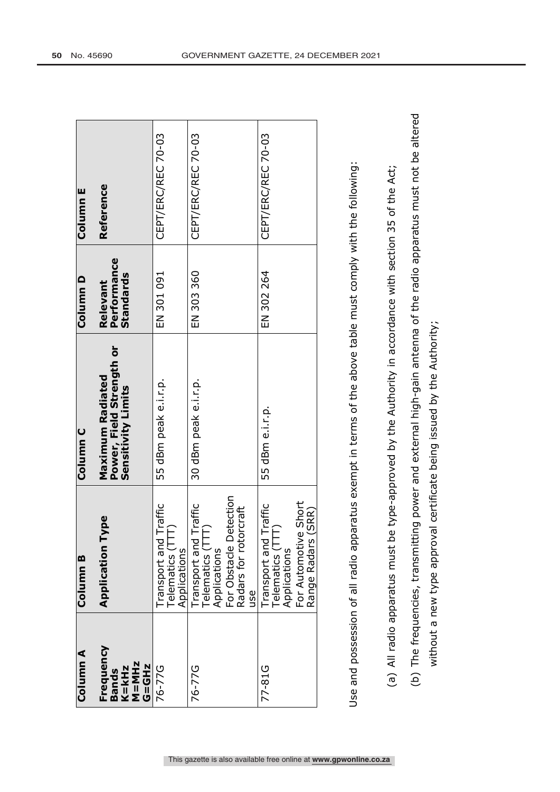| Column A                                                    | Column B                                                                                                                             | <b>Column C</b>                                                                                              | Column D                             | Column E           |
|-------------------------------------------------------------|--------------------------------------------------------------------------------------------------------------------------------------|--------------------------------------------------------------------------------------------------------------|--------------------------------------|--------------------|
| Frequency<br><b>M=MHz</b><br>G=GHz<br>スートエリ<br><b>Bands</b> | Type<br>Application                                                                                                                  | Power, Field Strength or<br><b>Maximum Radiated</b><br>Sensitivity Limits                                    | Performance<br>Standards<br>Relevant | Reference          |
| 76-77G                                                      | Traffic<br>Telematics (TTT)<br>Fransport and<br>Applications                                                                         | 55 dBm peak e.i.r.p.                                                                                         | EN 301 091                           | CEPT/ERC/REC 70-03 |
| 76-77G                                                      | Detection<br><b>Traffic</b><br>orcraft<br>Telematics (TTT)<br>Transport and<br>Radars for rot<br>For Obstacle<br>Applications<br>use | 30 dBm peak e.i.r.p.                                                                                         | EN 303 360                           | CEPT/ERC/REC 70-03 |
| 77-81G                                                      | For Automotive Short<br>Traffic<br>(SRR)<br>Transport and Tr<br>Telematics (TTT)<br>Range Radars<br>Applications                     | 55 dBm e.i.r.p.                                                                                              | EN 302 264                           | CEPT/ERC/REC 70-03 |
|                                                             |                                                                                                                                      | Use and possession of all radio apparatus exempt in terms of the above table must comply with the following: |                                      |                    |

- (a) All radio apparatus must be type-approved by the Authority in accordance with section 35 of the Act; (a) All radio apparatus must be type-approved by the Authority in accordance with section 35 of the Act;
- (b) The frequencies, transmitting power and external high-gain antenna of the radio apparatus must not be altered (b) The frequencies, transmitting power and external high-gain antenna of the radio apparatus must not be altered

without a new type approval certificate being issued by the Authority; without a new type approval certificate being issued by the Authority;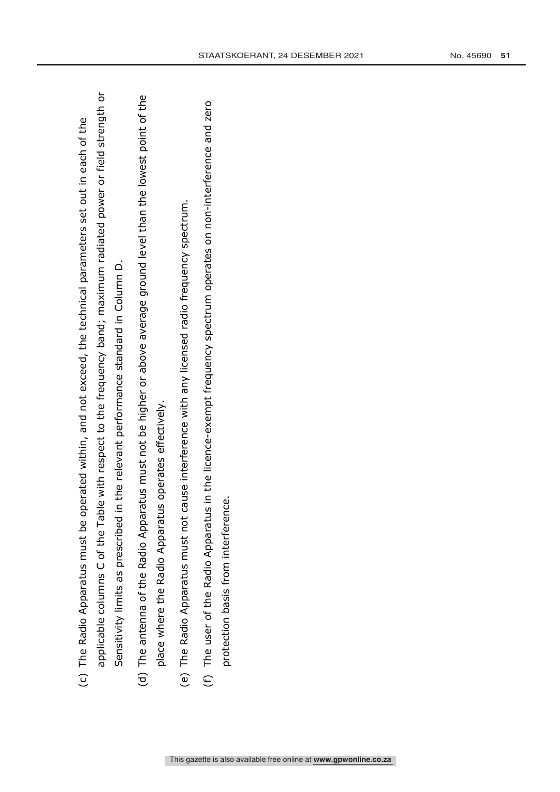| c) The Radio Apparatus must be operated within, and not exceed, the technical parameters set out in each of the | applicable columns C of the Table with respect to the frequency band; maximum radiated power or field strength or | in the relevant performance standard in Column D.<br>Sensitivity limits as prescribed |  |
|-----------------------------------------------------------------------------------------------------------------|-------------------------------------------------------------------------------------------------------------------|---------------------------------------------------------------------------------------|--|
|-----------------------------------------------------------------------------------------------------------------|-------------------------------------------------------------------------------------------------------------------|---------------------------------------------------------------------------------------|--|

- (d) The antenna of the Radio Apparatus must not be higher or above average ground level than the lowest point of the (d) The antenna of the Radio Apparatus must not be higher or above average ground level than the lowest point of the place where the Radio Apparatus operates effectively. place where the Radio Apparatus operates effectively.
- (e) The Radio Apparatus must not cause interference with any licensed radio frequency spectrum. (e) The Radio Apparatus must not cause interference with any licensed radio frequency spectrum.
- (f) The user of the Radio Apparatus in the licence-exempt frequency spectrum operates on non-interference and zero (f) The user of the Radio Apparatus in the licence-exempt frequency spectrum operates on non-interference and zero protection basis from interference. protection basis from interference.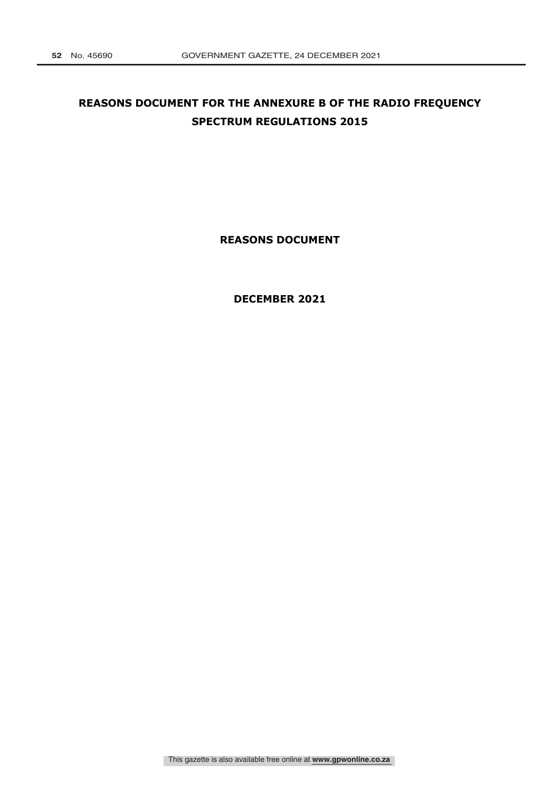# **REASONS DOCUMENT FOR THE ANNEXURE B OF THE RADIO FREQUENCY SPECTRUM REGULATIONS 2015**

**REASONS DOCUMENT** 

**DECEMBER 2021**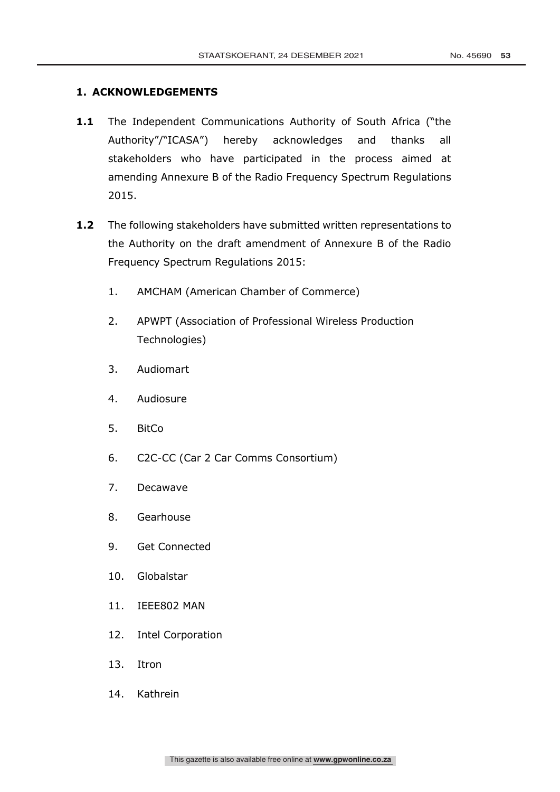### **1. ACKNOWLEDGEMENTS**

- 1.1 The Independent Communications Authority of South Africa ("the Authority"/"ICASA") hereby acknowledges and thanks all stakeholders who have participated in the process aimed at amending Annexure B of the Radio Frequency Spectrum Regulations 2015.
- **1.2** The following stakeholders have submitted written representations to the Authority on the draft amendment of Annexure B of the Radio Frequency Spectrum Regulations 2015:
	- 1. AMCHAM (American Chamber of Commerce)
	- 2. APWPT (Association of Professional Wireless Production Technologies)
	- 3. Audiomart
	- 4. Audiosure
	- 5. BitCo
	- 6. C2C-CC (Car 2 Car Comms Consortium)
	- 7. Decawave
	- 8. Gearhouse
	- 9. Get Connected
	- 10. Globalstar
	- 11. IEEE802 MAN
	- 12. Intel Corporation
	- 13. Itron
	- 14. Kathrein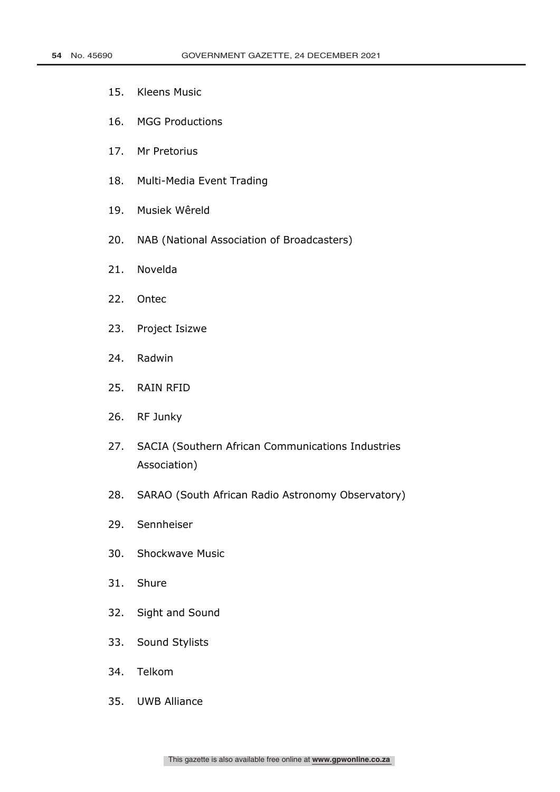- 15. Kleens Music
- 16. MGG Productions
- 17. Mr Pretorius
- 18. Multi-Media Event Trading
- 19. Musiek Wêreld
- 20. NAB (National Association of Broadcasters)
- 21. Novelda
- 22. Ontec
- 23. Project Isizwe
- 24. Radwin
- 25. RAIN RFID
- 26. RF Junky
- 27. SACIA (Southern African Communications Industries Association)
- 28. SARAO (South African Radio Astronomy Observatory)
- 29. Sennheiser
- 30. Shockwave Music
- 31. Shure
- 32. Sight and Sound
- 33. Sound Stylists
- 34. Telkom
- 35. UWB Alliance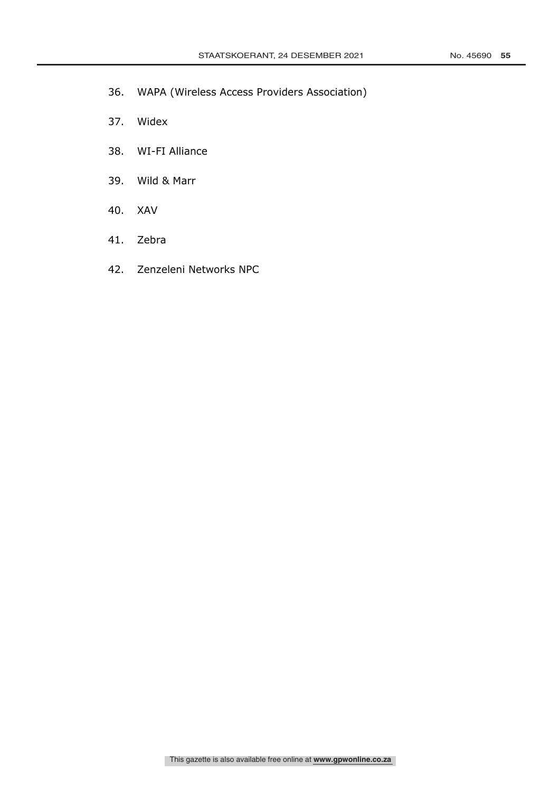- 36. WAPA (Wireless Access Providers Association)
- 37. Widex
- 38. WI-FI Alliance
- 39. Wild & Marr
- 40. XAV
- 41. Zebra
- 42. Zenzeleni Networks NPC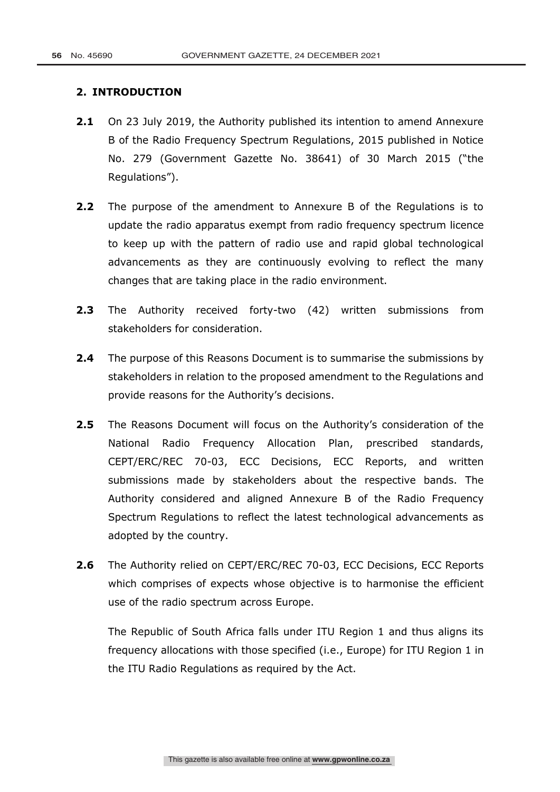### **2. INTRODUCTION**

- **2.1** On 23 July 2019, the Authority published its intention to amend Annexure B of the Radio Frequency Spectrum Regulations, 2015 published in Notice No. 279 (Government Gazette No. 38641) of 30 March 2015 ("the Regulations").
- **2.2** The purpose of the amendment to Annexure B of the Regulations is to update the radio apparatus exempt from radio frequency spectrum licence to keep up with the pattern of radio use and rapid global technological advancements as they are continuously evolving to reflect the many changes that are taking place in the radio environment.
- **2.3** The Authority received forty-two (42) written submissions from stakeholders for consideration.
- **2.4** The purpose of this Reasons Document is to summarise the submissions by stakeholders in relation to the proposed amendment to the Regulations and provide reasons for the Authority's decisions.
- **2.5** The Reasons Document will focus on the Authority's consideration of the National Radio Frequency Allocation Plan, prescribed standards, CEPT/ERC/REC 70-03, ECC Decisions, ECC Reports, and written submissions made by stakeholders about the respective bands. The Authority considered and aligned Annexure B of the Radio Frequency Spectrum Regulations to reflect the latest technological advancements as adopted by the country.
- **2.6** The Authority relied on CEPT/ERC/REC 70-03, ECC Decisions, ECC Reports which comprises of expects whose objective is to harmonise the efficient use of the radio spectrum across Europe.

The Republic of South Africa falls under ITU Region 1 and thus aligns its frequency allocations with those specified (i.e., Europe) for ITU Region 1 in the ITU Radio Regulations as required by the Act.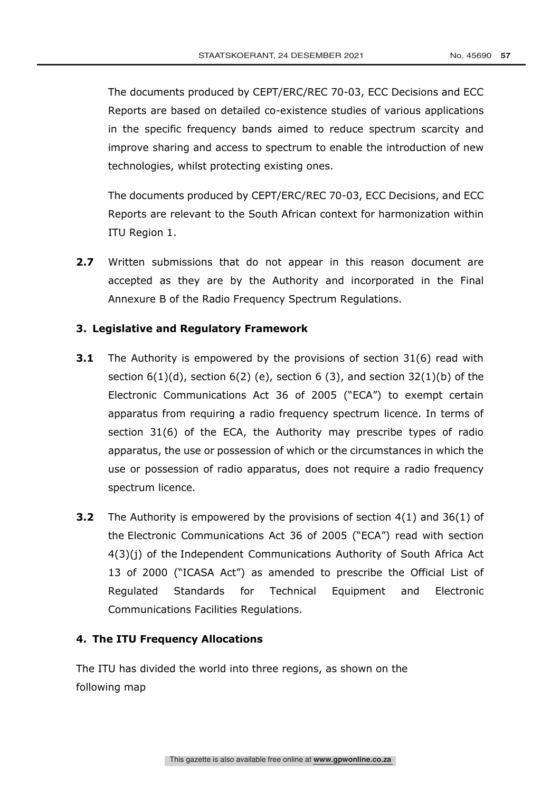The documents produced by CEPT/ERC/REC 70-03, ECC Decisions and ECC Reports are based on detailed co-existence studies of various applications in the specific frequency bands aimed to reduce spectrum scarcity and improve sharing and access to spectrum to enable the introduction of new technologies, whilst protecting existing ones.

The documents produced by CEPT/ERC/REC 70-03, ECC Decisions, and ECC Reports are relevant to the South African context for harmonization within ITU Region 1.

**2.7** Written submissions that do not appear in this reason document are accepted as they are by the Authority and incorporated in the Final Annexure B of the Radio Frequency Spectrum Regulations.

### **3. Legislative and Regulatory Framework**

- **3.1** The Authority is empowered by the provisions of section 31(6) read with section  $6(1)(d)$ , section  $6(2)(e)$ , section 6 (3), and section 32(1)(b) of the Electronic Communications Act 36 of 2005 ("ECA") to exempt certain apparatus from requiring a radio frequency spectrum licence. In terms of section 31(6) of the ECA, the Authority may prescribe types of radio apparatus, the use or possession of which or the circumstances in which the use or possession of radio apparatus, does not require a radio frequency spectrum licence.
- **3.2** The Authority is empowered by the provisions of section 4(1) and 36(1) of the Electronic Communications Act 36 of 2005 ("ECA") read with section 4(3)(j) of the Independent Communications Authority of South Africa Act 13 of 2000 ("ICASA Act") as amended to prescribe the Official List of Regulated Standards for Technical Equipment and Electronic Communications Facilities Regulations.

### **4. The ITU Frequency Allocations**

The ITU has divided the world into three regions, as shown on the following map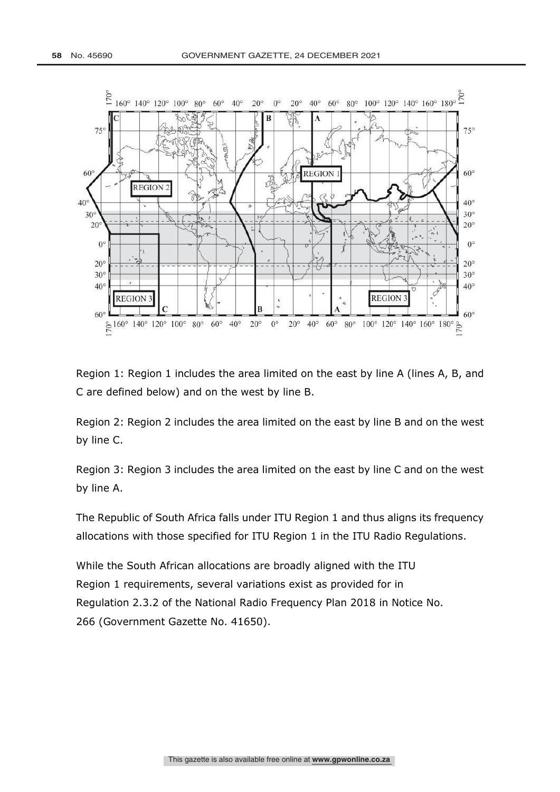

Region 1: Region 1 includes the area limited on the east by line A (lines A, B, and C are defined below) and on the west by line B.

Region 2: Region 2 includes the area limited on the east by line B and on the west by line C.

Region 3: Region 3 includes the area limited on the east by line C and on the west by line A.

The Republic of South Africa falls under ITU Region 1 and thus aligns its frequency allocations with those specified for ITU Region 1 in the ITU Radio Regulations.

While the South African allocations are broadly aligned with the ITU Region 1 requirements, several variations exist as provided for in Regulation 2.3.2 of the National Radio Frequency Plan 2018 in Notice No. 266 (Government Gazette No. 41650).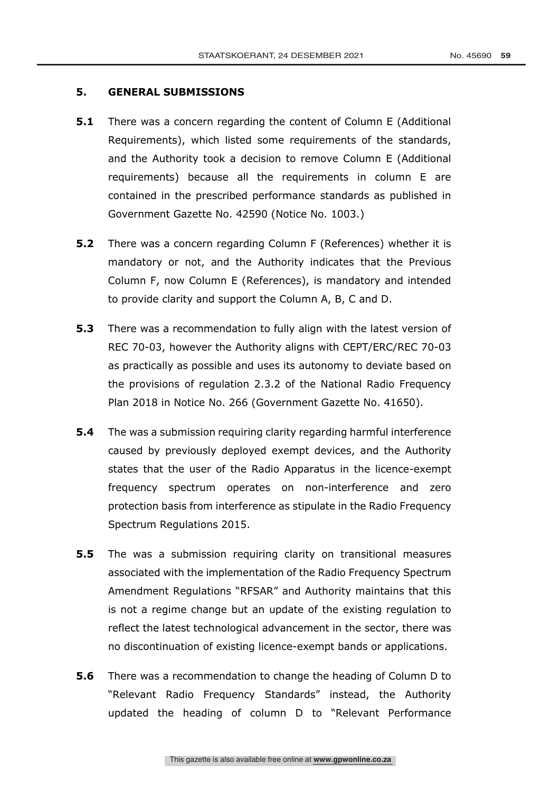### **5. GENERAL SUBMISSIONS**

- **5.1** There was a concern regarding the content of Column E (Additional Requirements), which listed some requirements of the standards, and the Authority took a decision to remove Column E (Additional requirements) because all the requirements in column E are contained in the prescribed performance standards as published in Government Gazette No. 42590 (Notice No. 1003.)
- **5.2** There was a concern regarding Column F (References) whether it is mandatory or not, and the Authority indicates that the Previous Column F, now Column E (References), is mandatory and intended to provide clarity and support the Column A, B, C and D.
- **5.3** There was a recommendation to fully align with the latest version of REC 70-03, however the Authority aligns with CEPT/ERC/REC 70-03 as practically as possible and uses its autonomy to deviate based on the provisions of regulation 2.3.2 of the National Radio Frequency Plan 2018 in Notice No. 266 (Government Gazette No. 41650).
- **5.4** The was a submission requiring clarity regarding harmful interference caused by previously deployed exempt devices, and the Authority states that the user of the Radio Apparatus in the licence-exempt frequency spectrum operates on non-interference and zero protection basis from interference as stipulate in the Radio Frequency Spectrum Regulations 2015.
- **5.5** The was a submission requiring clarity on transitional measures associated with the implementation of the Radio Frequency Spectrum Amendment Regulations "RFSAR" and Authority maintains that this is not a regime change but an update of the existing regulation to reflect the latest technological advancement in the sector, there was no discontinuation of existing licence-exempt bands or applications.
- **5.6** There was a recommendation to change the heading of Column D to "Relevant Radio Frequency Standards" instead, the Authority updated the heading of column D to "Relevant Performance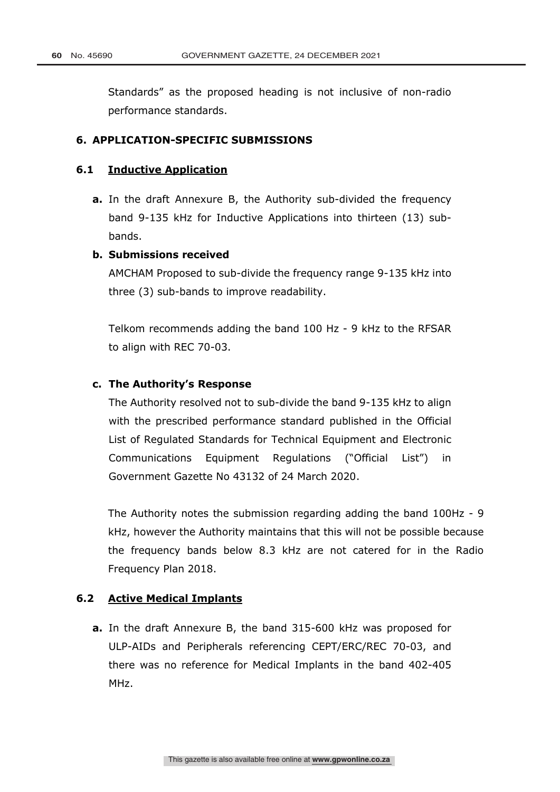Standards" as the proposed heading is not inclusive of non-radio performance standards.

### **6. APPLICATION-SPECIFIC SUBMISSIONS**

### **6.1 Inductive Application**

**a.** In the draft Annexure B, the Authority sub-divided the frequency band 9-135 kHz for Inductive Applications into thirteen (13) subbands.

### **b. Submissions received**

AMCHAM Proposed to sub-divide the frequency range 9-135 kHz into three (3) sub-bands to improve readability.

Telkom recommends adding the band 100 Hz - 9 kHz to the RFSAR to align with REC 70-03.

### **c. The Authority's Response**

The Authority resolved not to sub-divide the band 9-135 kHz to align with the prescribed performance standard published in the Official List of Regulated Standards for Technical Equipment and Electronic Communications Equipment Regulations ("Official List") in Government Gazette No 43132 of 24 March 2020.

The Authority notes the submission regarding adding the band 100Hz - 9 kHz, however the Authority maintains that this will not be possible because the frequency bands below 8.3 kHz are not catered for in the Radio Frequency Plan 2018.

### **6.2 Active Medical Implants**

**a.** In the draft Annexure B, the band 315-600 kHz was proposed for ULP-AIDs and Peripherals referencing CEPT/ERC/REC 70-03, and there was no reference for Medical Implants in the band 402-405 MHz.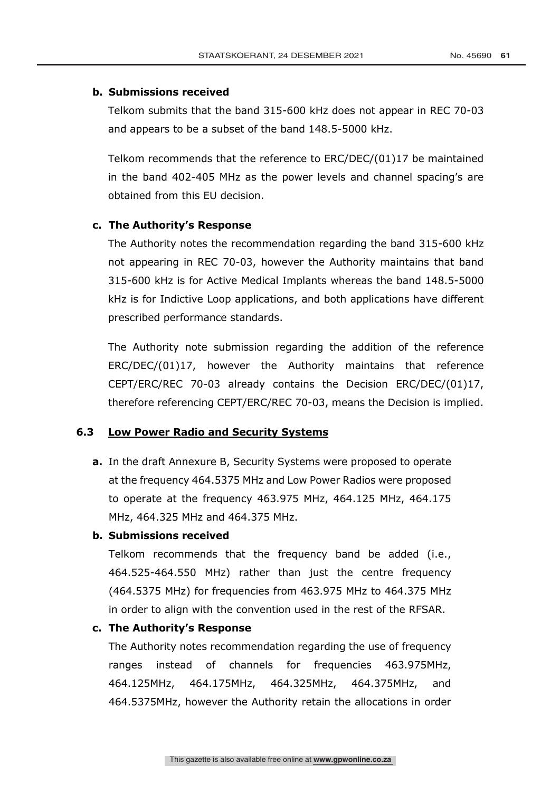### **b. Submissions received**

Telkom submits that the band 315-600 kHz does not appear in REC 70-03 and appears to be a subset of the band 148.5-5000 kHz.

Telkom recommends that the reference to ERC/DEC/(01)17 be maintained in the band 402-405 MHz as the power levels and channel spacing's are obtained from this EU decision.

### **c. The Authority's Response**

The Authority notes the recommendation regarding the band 315-600 kHz not appearing in REC 70-03, however the Authority maintains that band 315-600 kHz is for Active Medical Implants whereas the band 148.5-5000 kHz is for Indictive Loop applications, and both applications have different prescribed performance standards.

The Authority note submission regarding the addition of the reference ERC/DEC/(01)17, however the Authority maintains that reference CEPT/ERC/REC 70-03 already contains the Decision ERC/DEC/(01)17, therefore referencing CEPT/ERC/REC 70-03, means the Decision is implied.

### **6.3 Low Power Radio and Security Systems**

**a.** In the draft Annexure B, Security Systems were proposed to operate at the frequency 464.5375 MHz and Low Power Radios were proposed to operate at the frequency 463.975 MHz, 464.125 MHz, 464.175 MHz, 464.325 MHz and 464.375 MHz.

### **b. Submissions received**

Telkom recommends that the frequency band be added (i.e., 464.525-464.550 MHz) rather than just the centre frequency (464.5375 MHz) for frequencies from 463.975 MHz to 464.375 MHz in order to align with the convention used in the rest of the RFSAR.

### **c. The Authority's Response**

The Authority notes recommendation regarding the use of frequency ranges instead of channels for frequencies 463.975MHz, 464.125MHz, 464.175MHz, 464.325MHz, 464.375MHz, and 464.5375MHz, however the Authority retain the allocations in order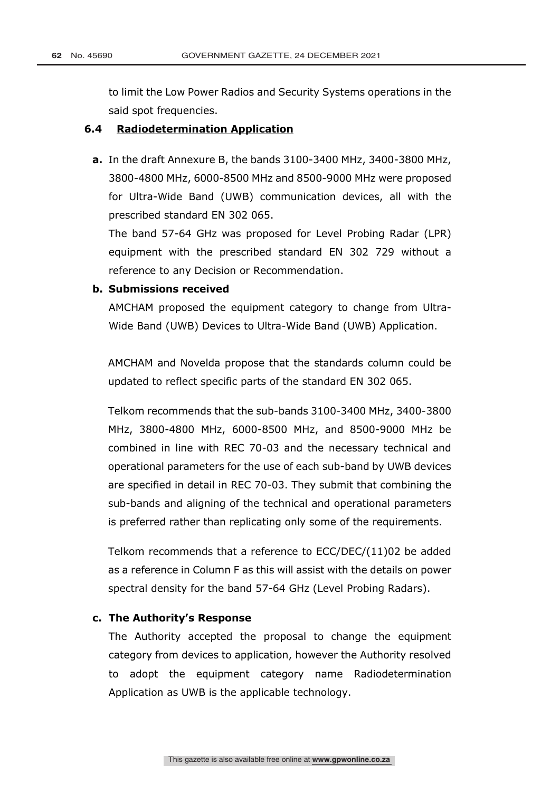to limit the Low Power Radios and Security Systems operations in the said spot frequencies.

### **6.4 Radiodetermination Application**

**a.** In the draft Annexure B, the bands 3100-3400 MHz, 3400-3800 MHz, 3800-4800 MHz, 6000-8500 MHz and 8500-9000 MHz were proposed for Ultra-Wide Band (UWB) communication devices, all with the prescribed standard EN 302 065.

The band 57-64 GHz was proposed for Level Probing Radar (LPR) equipment with the prescribed standard EN 302 729 without a reference to any Decision or Recommendation.

### **b. Submissions received**

AMCHAM proposed the equipment category to change from Ultra-Wide Band (UWB) Devices to Ultra-Wide Band (UWB) Application.

AMCHAM and Novelda propose that the standards column could be updated to reflect specific parts of the standard EN 302 065.

Telkom recommends that the sub-bands 3100-3400 MHz, 3400-3800 MHz, 3800-4800 MHz, 6000-8500 MHz, and 8500-9000 MHz be combined in line with REC 70-03 and the necessary technical and operational parameters for the use of each sub-band by UWB devices are specified in detail in REC 70-03. They submit that combining the sub-bands and aligning of the technical and operational parameters is preferred rather than replicating only some of the requirements.

Telkom recommends that a reference to ECC/DEC/(11)02 be added as a reference in Column F as this will assist with the details on power spectral density for the band 57-64 GHz (Level Probing Radars).

### **c. The Authority's Response**

The Authority accepted the proposal to change the equipment category from devices to application, however the Authority resolved to adopt the equipment category name Radiodetermination Application as UWB is the applicable technology.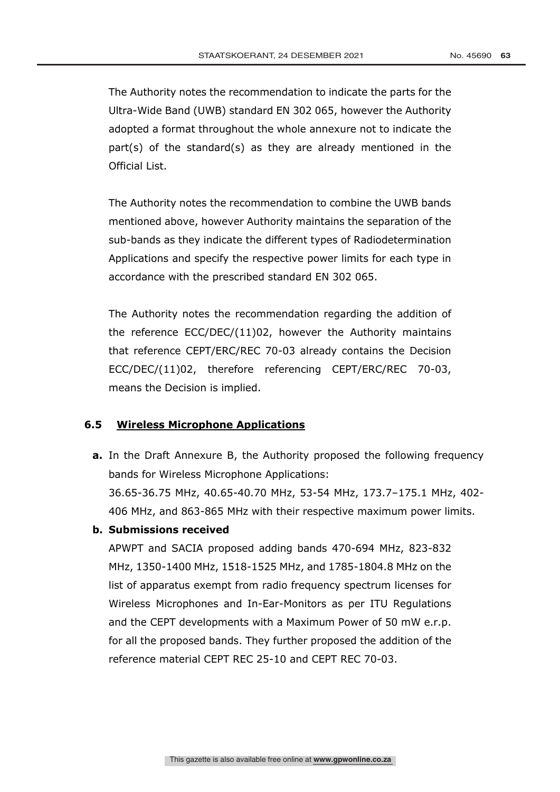The Authority notes the recommendation to indicate the parts for the Ultra-Wide Band (UWB) standard EN 302 065, however the Authority adopted a format throughout the whole annexure not to indicate the part(s) of the standard(s) as they are already mentioned in the Official List.

The Authority notes the recommendation to combine the UWB bands mentioned above, however Authority maintains the separation of the sub-bands as they indicate the different types of Radiodetermination Applications and specify the respective power limits for each type in accordance with the prescribed standard EN 302 065.

The Authority notes the recommendation regarding the addition of the reference ECC/DEC/(11)02, however the Authority maintains that reference CEPT/ERC/REC 70-03 already contains the Decision ECC/DEC/(11)02, therefore referencing CEPT/ERC/REC 70-03, means the Decision is implied.

### **6.5 Wireless Microphone Applications**

**a.** In the Draft Annexure B, the Authority proposed the following frequency bands for Wireless Microphone Applications:

36.65-36.75 MHz, 40.65-40.70 MHz, 53-54 MHz, 173.7–175.1 MHz, 402- 406 MHz, and 863-865 MHz with their respective maximum power limits.

**b. Submissions received**

APWPT and SACIA proposed adding bands 470-694 MHz, 823-832 MHz, 1350-1400 MHz, 1518-1525 MHz, and 1785-1804.8 MHz on the list of apparatus exempt from radio frequency spectrum licenses for Wireless Microphones and In-Ear-Monitors as per ITU Regulations and the CEPT developments with a Maximum Power of 50 mW e.r.p. for all the proposed bands. They further proposed the addition of the reference material CEPT REC 25-10 and CEPT REC 70-03.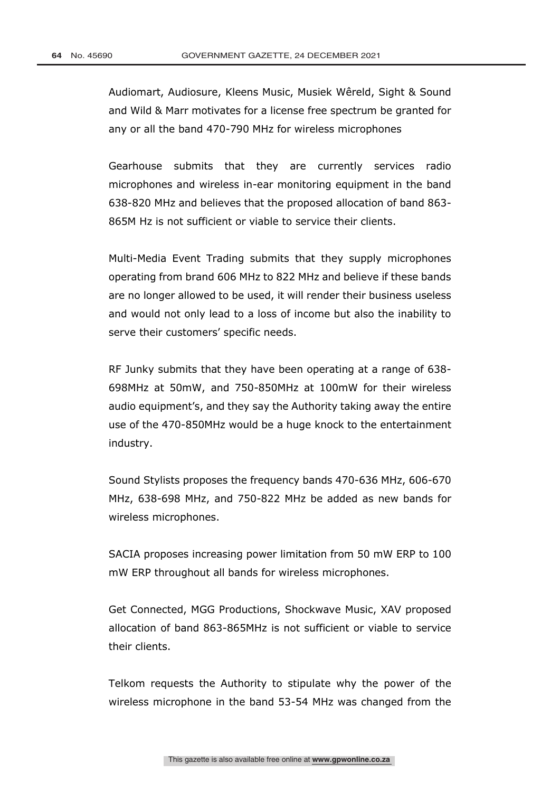Audiomart, Audiosure, Kleens Music, Musiek Wêreld, Sight & Sound and Wild & Marr motivates for a license free spectrum be granted for any or all the band 470-790 MHz for wireless microphones

Gearhouse submits that they are currently services radio microphones and wireless in-ear monitoring equipment in the band 638-820 MHz and believes that the proposed allocation of band 863- 865M Hz is not sufficient or viable to service their clients.

Multi-Media Event Trading submits that they supply microphones operating from brand 606 MHz to 822 MHz and believe if these bands are no longer allowed to be used, it will render their business useless and would not only lead to a loss of income but also the inability to serve their customers' specific needs.

RF Junky submits that they have been operating at a range of 638- 698MHz at 50mW, and 750-850MHz at 100mW for their wireless audio equipment's, and they say the Authority taking away the entire use of the 470-850MHz would be a huge knock to the entertainment industry.

Sound Stylists proposes the frequency bands 470-636 MHz, 606-670 MHz, 638-698 MHz, and 750-822 MHz be added as new bands for wireless microphones.

SACIA proposes increasing power limitation from 50 mW ERP to 100 mW ERP throughout all bands for wireless microphones.

Get Connected, MGG Productions, Shockwave Music, XAV proposed allocation of band 863-865MHz is not sufficient or viable to service their clients.

Telkom requests the Authority to stipulate why the power of the wireless microphone in the band 53-54 MHz was changed from the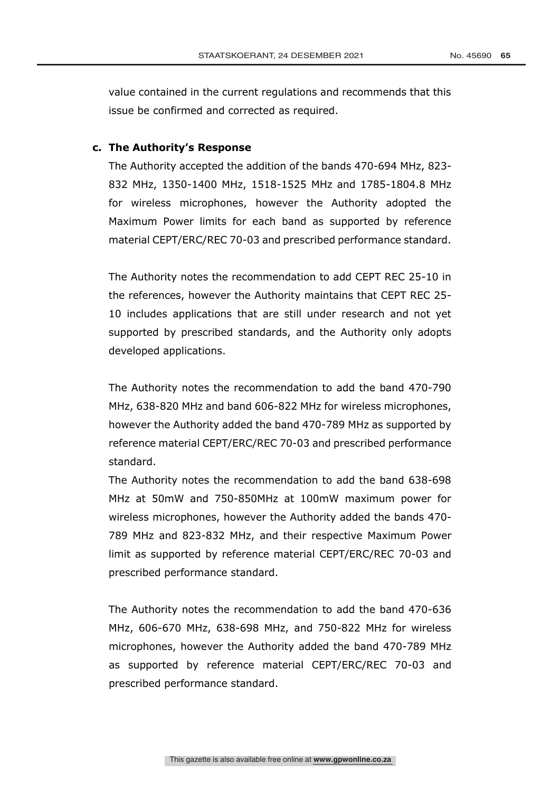value contained in the current regulations and recommends that this

### **c. The Authority's Response**

The Authority accepted the addition of the bands 470-694 MHz, 823- 832 MHz, 1350-1400 MHz, 1518-1525 MHz and 1785-1804.8 MHz for wireless microphones, however the Authority adopted the Maximum Power limits for each band as supported by reference material CEPT/ERC/REC 70-03 and prescribed performance standard.

The Authority notes the recommendation to add CEPT REC 25-10 in the references, however the Authority maintains that CEPT REC 25- 10 includes applications that are still under research and not yet supported by prescribed standards, and the Authority only adopts developed applications.

The Authority notes the recommendation to add the band 470-790 MHz, 638-820 MHz and band 606-822 MHz for wireless microphones, however the Authority added the band 470-789 MHz as supported by reference material CEPT/ERC/REC 70-03 and prescribed performance standard.

The Authority notes the recommendation to add the band 638-698 MHz at 50mW and 750-850MHz at 100mW maximum power for wireless microphones, however the Authority added the bands 470- 789 MHz and 823-832 MHz, and their respective Maximum Power limit as supported by reference material CEPT/ERC/REC 70-03 and prescribed performance standard.

The Authority notes the recommendation to add the band 470-636 MHz, 606-670 MHz, 638-698 MHz, and 750-822 MHz for wireless microphones, however the Authority added the band 470-789 MHz as supported by reference material CEPT/ERC/REC 70-03 and prescribed performance standard.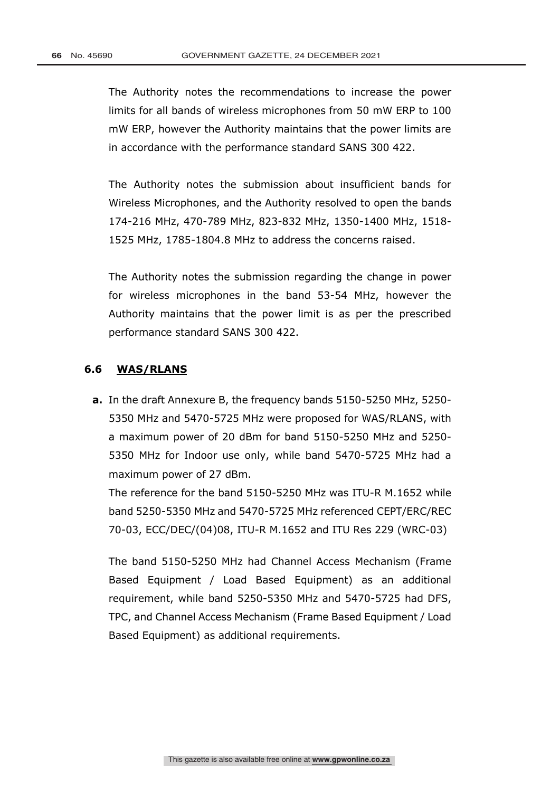The Authority notes the recommendations to increase the power limits for all bands of wireless microphones from 50 mW ERP to 100 mW ERP, however the Authority maintains that the power limits are in accordance with the performance standard SANS 300 422.

The Authority notes the submission about insufficient bands for Wireless Microphones, and the Authority resolved to open the bands 174-216 MHz, 470-789 MHz, 823-832 MHz, 1350-1400 MHz, 1518- 1525 MHz, 1785-1804.8 MHz to address the concerns raised.

The Authority notes the submission regarding the change in power for wireless microphones in the band 53-54 MHz, however the Authority maintains that the power limit is as per the prescribed performance standard SANS 300 422.

### **6.6 WAS/RLANS**

**a.** In the draft Annexure B, the frequency bands 5150-5250 MHz, 5250- 5350 MHz and 5470-5725 MHz were proposed for WAS/RLANS, with a maximum power of 20 dBm for band 5150-5250 MHz and 5250- 5350 MHz for Indoor use only, while band 5470-5725 MHz had a maximum power of 27 dBm.

The reference for the band 5150-5250 MHz was ITU-R M.1652 while band 5250-5350 MHz and 5470-5725 MHz referenced CEPT/ERC/REC 70-03, ECC/DEC/(04)08, ITU-R M.1652 and ITU Res 229 (WRC-03)

The band 5150-5250 MHz had Channel Access Mechanism (Frame Based Equipment / Load Based Equipment) as an additional requirement, while band 5250-5350 MHz and 5470-5725 had DFS, TPC, and Channel Access Mechanism (Frame Based Equipment / Load Based Equipment) as additional requirements.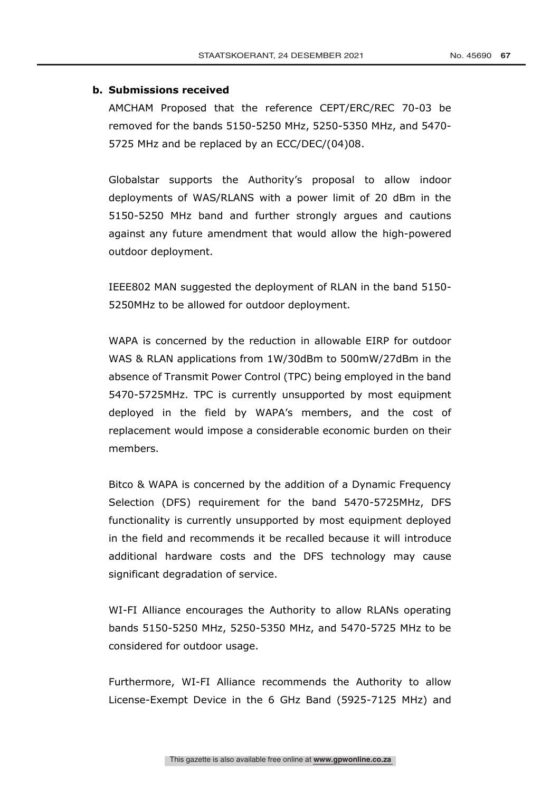### **b. Submissions received**

AMCHAM Proposed that the reference CEPT/ERC/REC 70-03 be removed for the bands 5150-5250 MHz, 5250-5350 MHz, and 5470- 5725 MHz and be replaced by an ECC/DEC/(04)08.

Globalstar supports the Authority's proposal to allow indoor deployments of WAS/RLANS with a power limit of 20 dBm in the 5150-5250 MHz band and further strongly argues and cautions against any future amendment that would allow the high-powered outdoor deployment.

IEEE802 MAN suggested the deployment of RLAN in the band 5150- 5250MHz to be allowed for outdoor deployment.

WAPA is concerned by the reduction in allowable EIRP for outdoor WAS & RLAN applications from 1W/30dBm to 500mW/27dBm in the absence of Transmit Power Control (TPC) being employed in the band 5470-5725MHz. TPC is currently unsupported by most equipment deployed in the field by WAPA's members, and the cost of replacement would impose a considerable economic burden on their members.

Bitco & WAPA is concerned by the addition of a Dynamic Frequency Selection (DFS) requirement for the band 5470-5725MHz, DFS functionality is currently unsupported by most equipment deployed in the field and recommends it be recalled because it will introduce additional hardware costs and the DFS technology may cause significant degradation of service.

WI-FI Alliance encourages the Authority to allow RLANs operating bands 5150-5250 MHz, 5250-5350 MHz, and 5470-5725 MHz to be considered for outdoor usage.

Furthermore, WI-FI Alliance recommends the Authority to allow License-Exempt Device in the 6 GHz Band (5925-7125 MHz) and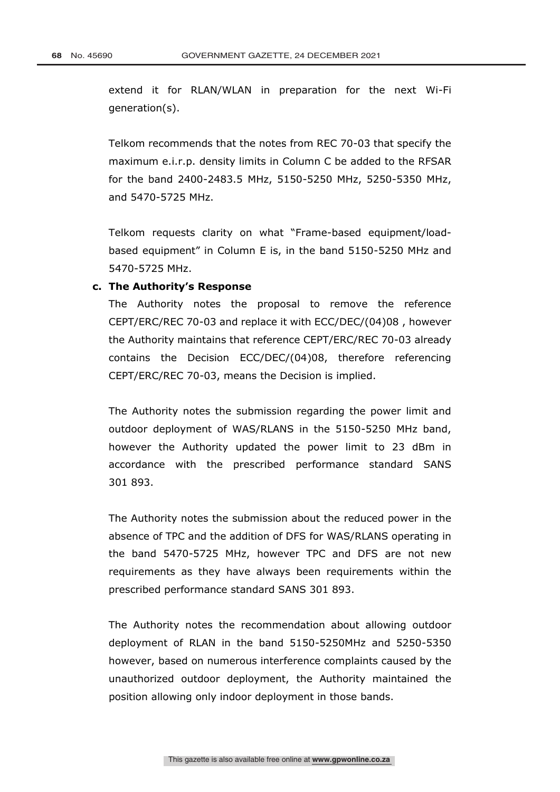extend it for RLAN/WLAN in preparation for the next Wi-Fi generation(s).

Telkom recommends that the notes from REC 70-03 that specify the maximum e.i.r.p. density limits in Column C be added to the RFSAR for the band 2400-2483.5 MHz, 5150-5250 MHz, 5250-5350 MHz, and 5470-5725 MHz.

Telkom requests clarity on what "Frame-based equipment/loadbased equipment" in Column E is, in the band 5150-5250 MHz and 5470-5725 MHz.

### **c. The Authority's Response**

The Authority notes the proposal to remove the reference CEPT/ERC/REC 70-03 and replace it with ECC/DEC/(04)08 , however the Authority maintains that reference CEPT/ERC/REC 70-03 already contains the Decision ECC/DEC/(04)08, therefore referencing CEPT/ERC/REC 70-03, means the Decision is implied.

The Authority notes the submission regarding the power limit and outdoor deployment of WAS/RLANS in the 5150-5250 MHz band, however the Authority updated the power limit to 23 dBm in accordance with the prescribed performance standard SANS 301 893.

The Authority notes the submission about the reduced power in the absence of TPC and the addition of DFS for WAS/RLANS operating in the band 5470-5725 MHz, however TPC and DFS are not new requirements as they have always been requirements within the prescribed performance standard SANS 301 893.

The Authority notes the recommendation about allowing outdoor deployment of RLAN in the band 5150-5250MHz and 5250-5350 however, based on numerous interference complaints caused by the unauthorized outdoor deployment, the Authority maintained the position allowing only indoor deployment in those bands.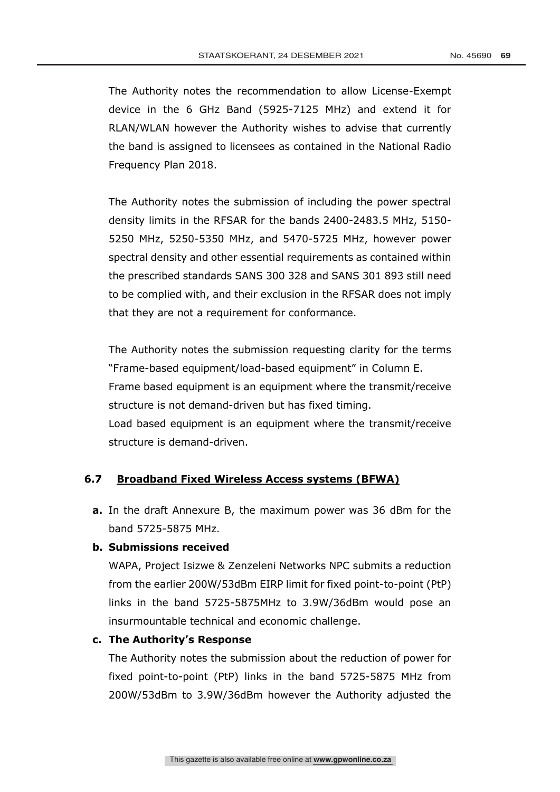The Authority notes the recommendation to allow License-Exempt device in the 6 GHz Band (5925-7125 MHz) and extend it for RLAN/WLAN however the Authority wishes to advise that currently the band is assigned to licensees as contained in the National Radio Frequency Plan 2018.

The Authority notes the submission of including the power spectral density limits in the RFSAR for the bands 2400-2483.5 MHz, 5150- 5250 MHz, 5250-5350 MHz, and 5470-5725 MHz, however power spectral density and other essential requirements as contained within the prescribed standards SANS 300 328 and SANS 301 893 still need to be complied with, and their exclusion in the RFSAR does not imply that they are not a requirement for conformance.

The Authority notes the submission requesting clarity for the terms "Frame-based equipment/load-based equipment" in Column E. Frame based equipment is an equipment where the transmit/receive structure is not demand-driven but has fixed timing. Load based equipment is an equipment where the transmit/receive structure is demand-driven.

### **6.7 Broadband Fixed Wireless Access systems (BFWA)**

**a.** In the draft Annexure B, the maximum power was 36 dBm for the band 5725-5875 MHz.

### **b. Submissions received**

WAPA, Project Isizwe & Zenzeleni Networks NPC submits a reduction from the earlier 200W/53dBm EIRP limit for fixed point-to-point (PtP) links in the band 5725-5875MHz to 3.9W/36dBm would pose an insurmountable technical and economic challenge.

### **c. The Authority's Response**

The Authority notes the submission about the reduction of power for fixed point-to-point (PtP) links in the band 5725-5875 MHz from 200W/53dBm to 3.9W/36dBm however the Authority adjusted the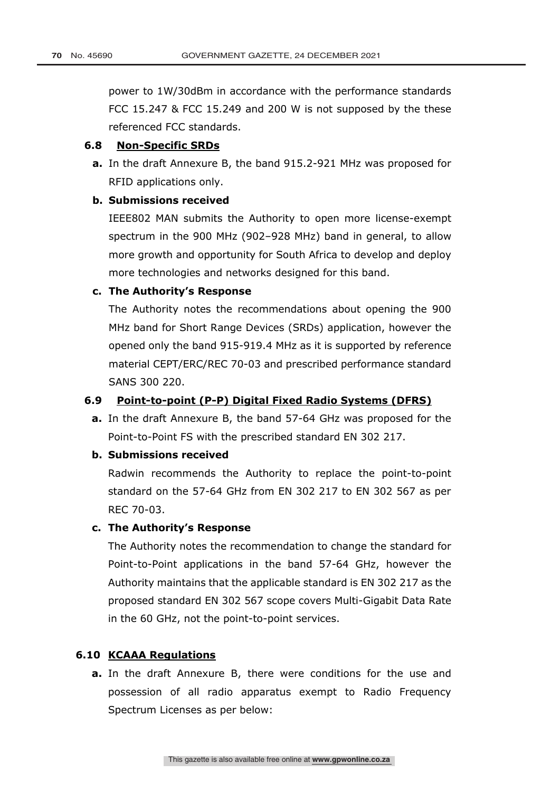power to 1W/30dBm in accordance with the performance standards FCC 15.247 & FCC 15.249 and 200 W is not supposed by the these referenced FCC standards.

### **6.8 Non-Specific SRDs**

**a.** In the draft Annexure B, the band 915.2-921 MHz was proposed for RFID applications only.

### **b. Submissions received**

IEEE802 MAN submits the Authority to open more license-exempt spectrum in the 900 MHz (902–928 MHz) band in general, to allow more growth and opportunity for South Africa to develop and deploy more technologies and networks designed for this band.

### **c. The Authority's Response**

The Authority notes the recommendations about opening the 900 MHz band for Short Range Devices (SRDs) application, however the opened only the band 915-919.4 MHz as it is supported by reference material CEPT/ERC/REC 70-03 and prescribed performance standard SANS 300 220.

### **6.9 Point-to-point (P-P) Digital Fixed Radio Systems (DFRS)**

**a.** In the draft Annexure B, the band 57-64 GHz was proposed for the Point-to-Point FS with the prescribed standard EN 302 217.

### **b. Submissions received**

Radwin recommends the Authority to replace the point-to-point standard on the 57-64 GHz from EN 302 217 to EN 302 567 as per REC 70-03.

### **c. The Authority's Response**

The Authority notes the recommendation to change the standard for Point-to-Point applications in the band 57-64 GHz, however the Authority maintains that the applicable standard is EN 302 217 as the proposed standard EN 302 567 scope covers Multi-Gigabit Data Rate in the 60 GHz, not the point-to-point services.

### **6.10 KCAAA Regulations**

**a.** In the draft Annexure B, there were conditions for the use and possession of all radio apparatus exempt to Radio Frequency Spectrum Licenses as per below: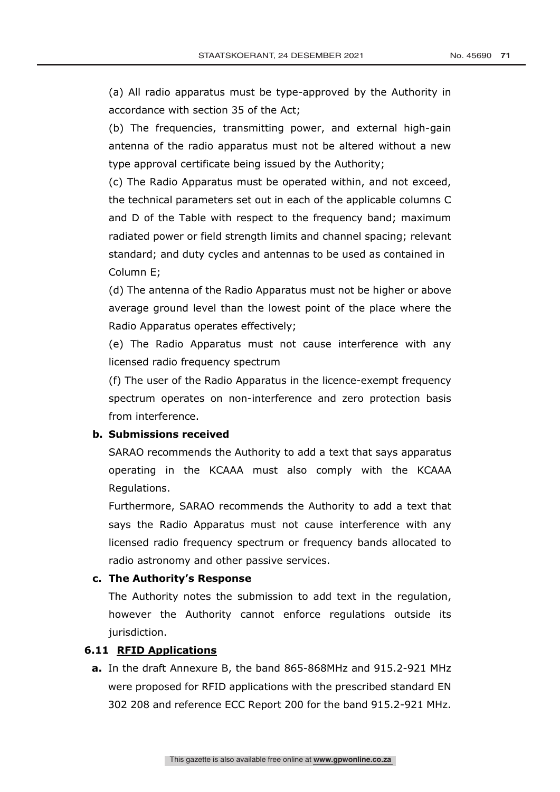(a) All radio apparatus must be type-approved by the Authority in accordance with section 35 of the Act;

(b) The frequencies, transmitting power, and external high-gain antenna of the radio apparatus must not be altered without a new type approval certificate being issued by the Authority;

(c) The Radio Apparatus must be operated within, and not exceed, the technical parameters set out in each of the applicable columns C and D of the Table with respect to the frequency band; maximum radiated power or field strength limits and channel spacing; relevant standard; and duty cycles and antennas to be used as contained in Column E;

(d) The antenna of the Radio Apparatus must not be higher or above average ground level than the lowest point of the place where the Radio Apparatus operates effectively;

(e) The Radio Apparatus must not cause interference with any licensed radio frequency spectrum

(f) The user of the Radio Apparatus in the licence-exempt frequency spectrum operates on non-interference and zero protection basis from interference.

### **b. Submissions received**

SARAO recommends the Authority to add a text that says apparatus operating in the KCAAA must also comply with the KCAAA Regulations.

Furthermore, SARAO recommends the Authority to add a text that says the Radio Apparatus must not cause interference with any licensed radio frequency spectrum or frequency bands allocated to radio astronomy and other passive services.

### **c. The Authority's Response**

The Authority notes the submission to add text in the regulation, however the Authority cannot enforce regulations outside its jurisdiction.

### **6.11 RFID Applications**

**a.** In the draft Annexure B, the band 865-868MHz and 915.2-921 MHz were proposed for RFID applications with the prescribed standard EN 302 208 and reference ECC Report 200 for the band 915.2-921 MHz.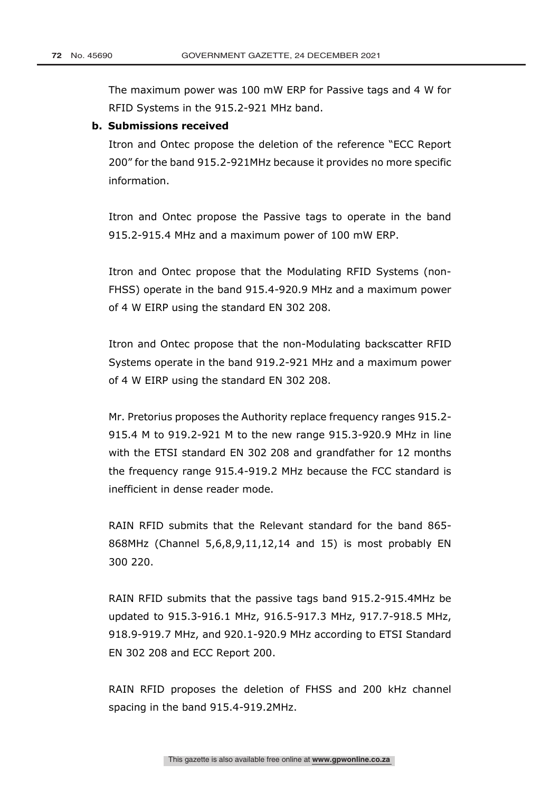The maximum power was 100 mW ERP for Passive tags and 4 W for RFID Systems in the 915.2-921 MHz band.

### **b. Submissions received**

Itron and Ontec propose the deletion of the reference "ECC Report 200" for the band 915.2-921MHz because it provides no more specific information.

Itron and Ontec propose the Passive tags to operate in the band 915.2-915.4 MHz and a maximum power of 100 mW ERP.

Itron and Ontec propose that the Modulating RFID Systems (non-FHSS) operate in the band 915.4-920.9 MHz and a maximum power of 4 W EIRP using the standard EN 302 208.

Itron and Ontec propose that the non-Modulating backscatter RFID Systems operate in the band 919.2-921 MHz and a maximum power of 4 W EIRP using the standard EN 302 208.

Mr. Pretorius proposes the Authority replace frequency ranges 915.2- 915.4 M to 919.2-921 M to the new range 915.3-920.9 MHz in line with the ETSI standard EN 302 208 and grandfather for 12 months the frequency range 915.4-919.2 MHz because the FCC standard is inefficient in dense reader mode.

RAIN RFID submits that the Relevant standard for the band 865- 868MHz (Channel 5,6,8,9,11,12,14 and 15) is most probably EN 300 220.

RAIN RFID submits that the passive tags band 915.2-915.4MHz be updated to 915.3-916.1 MHz, 916.5-917.3 MHz, 917.7-918.5 MHz, 918.9-919.7 MHz, and 920.1-920.9 MHz according to ETSI Standard EN 302 208 and ECC Report 200.

RAIN RFID proposes the deletion of FHSS and 200 kHz channel spacing in the band 915.4-919.2MHz.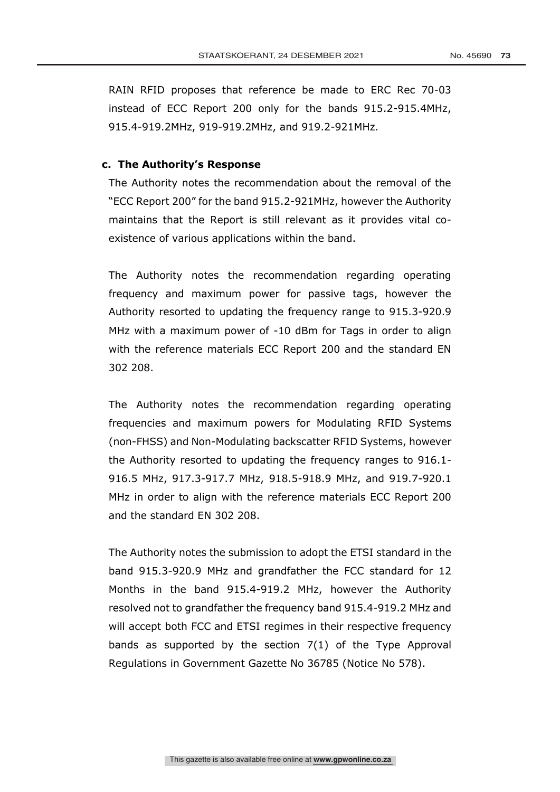RAIN RFID proposes that reference be made to ERC Rec 70-03 instead of ECC Report 200 only for the bands 915.2-915.4MHz, 915.4-919.2MHz, 919-919.2MHz, and 919.2-921MHz.

### **c. The Authority's Response**

The Authority notes the recommendation about the removal of the "ECC Report 200" for the band 915.2-921MHz, however the Authority maintains that the Report is still relevant as it provides vital coexistence of various applications within the band.

The Authority notes the recommendation regarding operating frequency and maximum power for passive tags, however the Authority resorted to updating the frequency range to 915.3-920.9 MHz with a maximum power of -10 dBm for Tags in order to align with the reference materials ECC Report 200 and the standard EN 302 208.

The Authority notes the recommendation regarding operating frequencies and maximum powers for Modulating RFID Systems (non-FHSS) and Non-Modulating backscatter RFID Systems, however the Authority resorted to updating the frequency ranges to 916.1- 916.5 MHz, 917.3-917.7 MHz, 918.5-918.9 MHz, and 919.7-920.1 MHz in order to align with the reference materials ECC Report 200 and the standard EN 302 208.

The Authority notes the submission to adopt the ETSI standard in the band 915.3-920.9 MHz and grandfather the FCC standard for 12 Months in the band 915.4-919.2 MHz, however the Authority resolved not to grandfather the frequency band 915.4-919.2 MHz and will accept both FCC and ETSI regimes in their respective frequency bands as supported by the section 7(1) of the Type Approval Regulations in Government Gazette No 36785 (Notice No 578).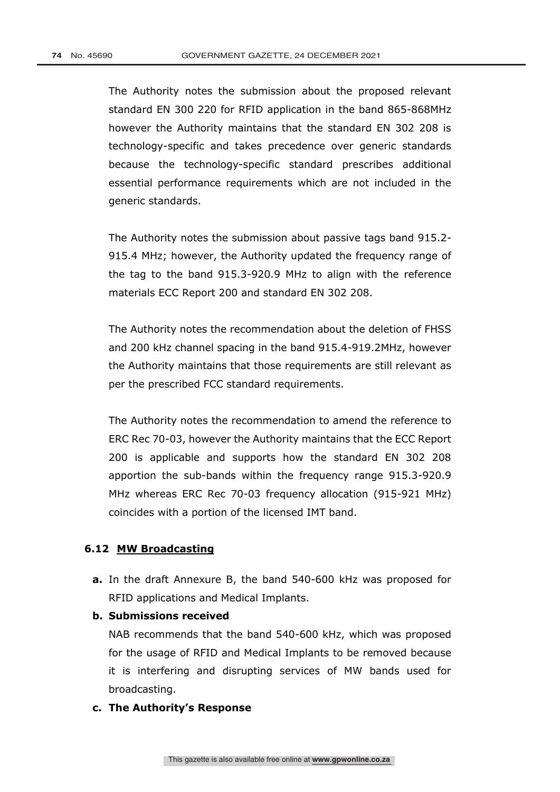The Authority notes the submission about the proposed relevant standard EN 300 220 for RFID application in the band 865-868MHz however the Authority maintains that the standard EN 302 208 is technology-specific and takes precedence over generic standards because the technology-specific standard prescribes additional essential performance requirements which are not included in the generic standards.

The Authority notes the submission about passive tags band 915.2- 915.4 MHz; however, the Authority updated the frequency range of the tag to the band 915.3-920.9 MHz to align with the reference materials ECC Report 200 and standard EN 302 208.

The Authority notes the recommendation about the deletion of FHSS and 200 kHz channel spacing in the band 915.4-919.2MHz, however the Authority maintains that those requirements are still relevant as per the prescribed FCC standard requirements.

The Authority notes the recommendation to amend the reference to ERC Rec 70-03, however the Authority maintains that the ECC Report 200 is applicable and supports how the standard EN 302 208 apportion the sub-bands within the frequency range 915.3-920.9 MHz whereas ERC Rec 70-03 frequency allocation (915-921 MHz) coincides with a portion of the licensed IMT band.

### **6.12 MW Broadcasting**

- **a.** In the draft Annexure B, the band 540-600 kHz was proposed for RFID applications and Medical Implants.
- **b. Submissions received**

NAB recommends that the band 540-600 kHz, which was proposed for the usage of RFID and Medical Implants to be removed because it is interfering and disrupting services of MW bands used for broadcasting.

### **c. The Authority's Response**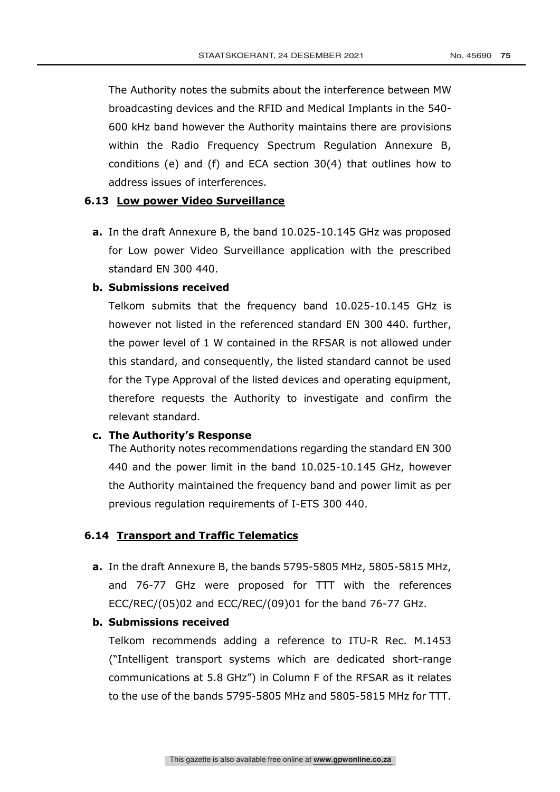The Authority notes the submits about the interference between MW broadcasting devices and the RFID and Medical Implants in the 540- 600 kHz band however the Authority maintains there are provisions within the Radio Frequency Spectrum Regulation Annexure B, conditions (e) and (f) and ECA section 30(4) that outlines how to address issues of interferences.

### **6.13 Low power Video Surveillance**

**a.** In the draft Annexure B, the band 10.025-10.145 GHz was proposed for Low power Video Surveillance application with the prescribed standard EN 300 440.

### **b. Submissions received**

Telkom submits that the frequency band 10.025-10.145 GHz is however not listed in the referenced standard EN 300 440. further, the power level of 1 W contained in the RFSAR is not allowed under this standard, and consequently, the listed standard cannot be used for the Type Approval of the listed devices and operating equipment, therefore requests the Authority to investigate and confirm the relevant standard.

### **c. The Authority's Response**

The Authority notes recommendations regarding the standard EN 300 440 and the power limit in the band 10.025-10.145 GHz, however the Authority maintained the frequency band and power limit as per previous regulation requirements of I-ETS 300 440.

### **6.14 Transport and Traffic Telematics**

**a.** In the draft Annexure B, the bands 5795-5805 MHz, 5805-5815 MHz, and 76-77 GHz were proposed for TTT with the references ECC/REC/(05)02 and ECC/REC/(09)01 for the band 76-77 GHz.

### **b. Submissions received**

Telkom recommends adding a reference to ITU-R Rec. M.1453 ("Intelligent transport systems which are dedicated short-range communications at 5.8 GHz") in Column F of the RFSAR as it relates to the use of the bands 5795-5805 MHz and 5805-5815 MHz for TTT.